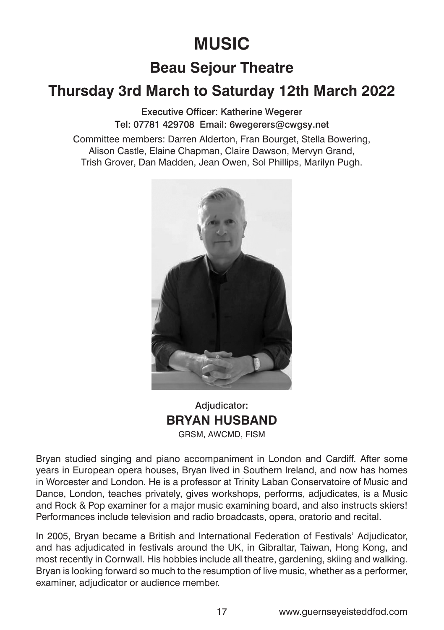# **MUSIC**

# **Beau Sejour Theatre**

# **Thursday 3rd March to Saturday 12th March 2022**

Executive Officer: Katherine Wegerer Tel: 07781 429708 Email: 6wegerers@cwgsy.net

Committee members: Darren Alderton, Fran Bourget, Stella Bowering, Alison Castle, Elaine Chapman, Claire Dawson, Mervyn Grand, Trish Grover, Dan Madden, Jean Owen, Sol Phillips, Marilyn Pugh.



Adiudicator: **BRYAN HUSBAND** GRSM, AWCMD, FISM

Bryan studied singing and piano accompaniment in London and Cardiff. After some years in European opera houses, Bryan lived in Southern Ireland, and now has homes in Worcester and London. He is a professor at Trinity Laban Conservatoire of Music and Dance, London, teaches privately, gives workshops, performs, adjudicates, is a Music and Rock & Pop examiner for a major music examining board, and also instructs skiers! Performances include television and radio broadcasts, opera, oratorio and recital.

In 2005, Bryan became a British and International Federation of Festivals' Adjudicator, and has adjudicated in festivals around the UK, in Gibraltar, Taiwan, Hong Kong, and most recently in Cornwall. His hobbies include all theatre, gardening, skiing and walking. Bryan is looking forward so much to the resumption of live music, whether as a performer, examiner, adjudicator or audience member.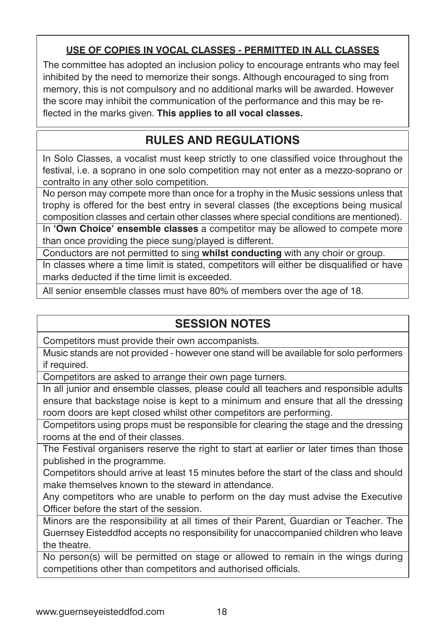### **USE OF COPIES IN VOCAL CLASSES - PERMITTED IN ALL CLASSES**

The committee has adopted an inclusion policy to encourage entrants who may feel inhibited by the need to memorize their songs. Although encouraged to sing from memory, this is not compulsory and no additional marks will be awarded. However the score may inhibit the communication of the performance and this may be reflected in the marks given. **This applies to all vocal classes.**

# **RULES AND REGULATIONS**

In Solo Classes, a vocalist must keep strictly to one classified voice throughout the festival, i.e. a soprano in one solo competition may not enter as a mezzo-soprano or contralto in any other solo competition.

No person may compete more than once for a trophy in the Music sessions unless that trophy is offered for the best entry in several classes (the exceptions being musical composition classes and certain other classes where special conditions are mentioned).

In **'Own Choice' ensemble classes** a competitor may be allowed to compete more than once providing the piece sung/played is different.

Conductors are not permitted to sing **whilst conducting** with any choir or group.

In classes where a time limit is stated, competitors will either be disqualified or have marks deducted if the time limit is exceeded.

All senior ensemble classes must have 80% of members over the age of 18.

# **SESSION NOTES**

Competitors must provide their own accompanists.

Music stands are not provided - however one stand will be available for solo performers if required.

Competitors are asked to arrange their own page turners.

In all junior and ensemble classes, please could all teachers and responsible adults ensure that backstage noise is kept to a minimum and ensure that all the dressing room doors are kept closed whilst other competitors are performing.

Competitors using props must be responsible for clearing the stage and the dressing rooms at the end of their classes.

The Festival organisers reserve the right to start at earlier or later times than those published in the programme.

Competitors should arrive at least 15 minutes before the start of the class and should make themselves known to the steward in attendance.

Any competitors who are unable to perform on the day must advise the Executive Officer before the start of the session.

Minors are the responsibility at all times of their Parent, Guardian or Teacher. The Guernsey Eisteddfod accepts no responsibility for unaccompanied children who leave the theatre.

No person(s) will be permitted on stage or allowed to remain in the wings during competitions other than competitors and authorised officials.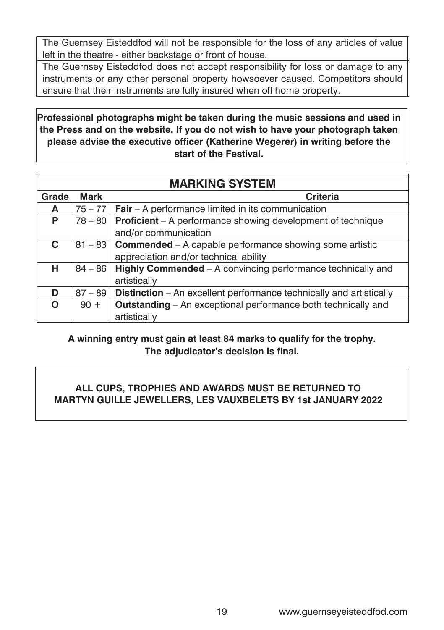The Guernsey Eisteddfod will not be responsible for the loss of any articles of value left in the theatre - either backstage or front of house.

The Guernsey Eisteddfod does not accept responsibility for loss or damage to any instruments or any other personal property howsoever caused. Competitors should ensure that their instruments are fully insured when off home property.

**Professional photographs might be taken during the music sessions and used in the Press and on the website. If you do not wish to have your photograph taken please advise the executive officer (Katherine Wegerer) in writing before the start of the Festival.**

|       | <b>MARKING SYSTEM</b> |                                                                            |  |  |
|-------|-----------------------|----------------------------------------------------------------------------|--|--|
| Grade | <b>Mark</b>           | <b>Criteria</b>                                                            |  |  |
| A     |                       | $75 - 77$ Fair – A performance limited in its communication                |  |  |
| P     | $78 - 80$             | Proficient - A performance showing development of technique                |  |  |
|       |                       | and/or communication                                                       |  |  |
| C.    |                       | $81 - 83$ Commended – A capable performance showing some artistic          |  |  |
|       |                       | appreciation and/or technical ability                                      |  |  |
| н     | $84 - 86$             | Highly Commended - A convincing performance technically and                |  |  |
|       |                       | artistically                                                               |  |  |
| D     | $87 - 89$             | <b>Distinction</b> – An excellent performance technically and artistically |  |  |
| ∩     | $90 +$                | <b>Outstanding</b> – An exceptional performance both technically and       |  |  |
|       |                       | artistically                                                               |  |  |

**A winning entry must gain at least 84 marks to qualify for the trophy. The adjudicator's decision is final.**

### **ALL CUPS, TROPHIES AND AWARDS MUST BE RETURNED TO MARTYN GUILLE JEWELLERS, LES VAUXBELETS BY 1st JANUARY 2022**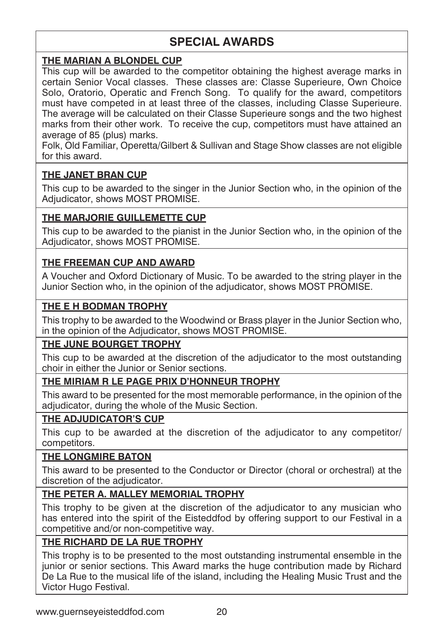# **SPECIAL AWARDS**

### **THE MARIAN A BLONDEL CUP**

This cup will be awarded to the competitor obtaining the highest average marks in certain Senior Vocal classes. These classes are: Classe Superieure, Own Choice Solo, Oratorio, Operatic and French Song. To qualify for the award, competitors must have competed in at least three of the classes, including Classe Superieure. The average will be calculated on their Classe Superieure songs and the two highest marks from their other work. To receive the cup, competitors must have attained an average of 85 (plus) marks.

Folk, Old Familiar, Operetta/Gilbert & Sullivan and Stage Show classes are not eligible for this award.

### **THE JANET BRAN CUP**

This cup to be awarded to the singer in the Junior Section who, in the opinion of the Adjudicator, shows MOST PROMISE.

### **THE MARJORIE GUILLEMETTE CUP**

This cup to be awarded to the pianist in the Junior Section who, in the opinion of the Adjudicator, shows MOST PROMISE.

### **THE FREEMAN CUP AND AWARD**

A Voucher and Oxford Dictionary of Music. To be awarded to the string player in the Junior Section who, in the opinion of the adjudicator, shows MOST PROMISE.

### **THE E H BODMAN TROPHY**

This trophy to be awarded to the Woodwind or Brass player in the Junior Section who, in the opinion of the Adjudicator, shows MOST PROMISE.

### **THE JUNE BOURGET TROPHY**

This cup to be awarded at the discretion of the adjudicator to the most outstanding choir in either the Junior or Senior sections.

### **THE MIRIAM R LE PAGE PRIX D'HONNEUR TROPHY**

This award to be presented for the most memorable performance, in the opinion of the adjudicator, during the whole of the Music Section.

### **THE ADJUDICATOR'S CUP**

This cup to be awarded at the discretion of the adjudicator to any competitor/ competitors.

### **THE LONGMIRE BATON**

This award to be presented to the Conductor or Director (choral or orchestral) at the discretion of the adjudicator.

### **THE PETER A. MALLEY MEMORIAL TROPHY**

This trophy to be given at the discretion of the adjudicator to any musician who has entered into the spirit of the Eisteddfod by offering support to our Festival in a competitive and/or non-competitive way.

### **THE RICHARD DE LA RUE TROPHY**

This trophy is to be presented to the most outstanding instrumental ensemble in the junior or senior sections. This Award marks the huge contribution made by Richard De La Rue to the musical life of the island, including the Healing Music Trust and the Victor Hugo Festival.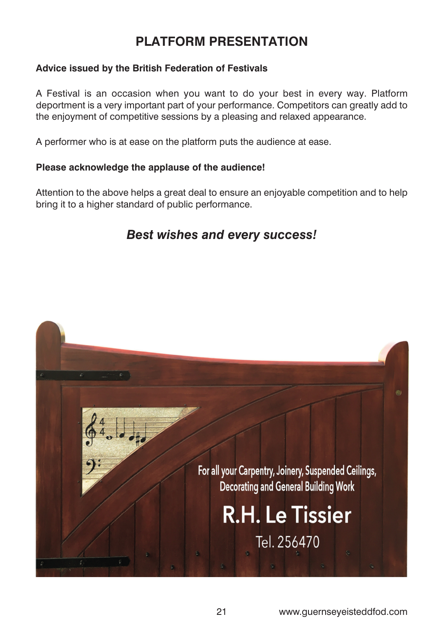# **PLATFORM PRESENTATION**

### **Advice issued by the British Federation of Festivals**

A Festival is an occasion when you want to do your best in every way. Platform deportment is a very important part of your performance. Competitors can greatly add to the enjoyment of competitive sessions by a pleasing and relaxed appearance.

A performer who is at ease on the platform puts the audience at ease.

#### **Please acknowledge the applause of the audience!**

Attention to the above helps a great deal to ensure an enjoyable competition and to help bring it to a higher standard of public performance.

# *Best wishes and every success!*

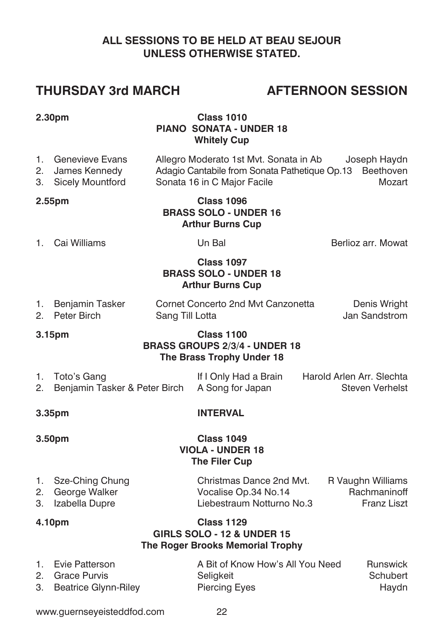### **ALL SESSIONS TO BE HELD AT BEAU SEJOUR UNLESS OTHERWISE STATED.**

# **THURSDAY 3rd MARCH AFTERNOON SESSION**

#### **2.30pm Class 1010 PIANO SONATA - UNDER 18 Whitely Cup**

- 1. Genevieve Evans Allegro Moderato 1st Mvt. Sonata in Ab Joseph Haydn<br>2. James Kennedy Adagio Cantabile from Sonata Pathetique Op.13 Beethoven Adagio Cantabile from Sonata Pathetique Op.13 Beethoven 3. Sicely Mountford Sonata 16 in C Major Facile Mozart
- 

#### **2.55pm Class 1096 BRASS SOLO - UNDER 16 Arthur Burns Cup**

1. Cai Williams Un Bal Berlioz arr. Mowat

### **Class 1097 BRASS SOLO - UNDER 18 Arthur Burns Cup**

| 1. Benjamin Tasker | Cornet Concerto 2nd Myt Canzonetta | Denis Wright  |
|--------------------|------------------------------------|---------------|
| 2. Peter Birch     | Sang Till Lotta                    | Jan Sandstrom |

#### **3.15pm Class 1100 BRASS GROUPS 2/3/4 - UNDER 18 The Brass Trophy Under 18**

| 1. Toto's Gang                                    | If I Only Had a Brain | Harold Arlen Arr. Slechta |
|---------------------------------------------------|-----------------------|---------------------------|
| 2. Benjamin Tasker & Peter Birch A Song for Japan |                       | Steven Verhelst           |

### **3.35pm INTERVAL**

#### **3.50pm Class 1049 VIOLA - UNDER 18 The Filer Cup**

| 1. Sze-Ching Chung | Christmas Dance 2nd Myt.  | R Vaughn Williams  |
|--------------------|---------------------------|--------------------|
| 2. George Walker   | Vocalise Op.34 No.14      | Rachmaninoff       |
| 3. Izabella Dupre  | Liebestraum Notturno No.3 | <b>Franz Liszt</b> |

### **4.10pm Class 1129 GIRLS SOLO - 12 & UNDER 15 The Roger Brooks Memorial Trophy**

| 1. Evie Patterson       | A Bit of Know How's All You Need | Runswick |
|-------------------------|----------------------------------|----------|
| 2. Grace Purvis         | Seliakeit                        | Schubert |
| 3. Beatrice Glynn-Riley | Piercing Eyes                    | Haydn    |

www.guernseyeisteddfod.com 22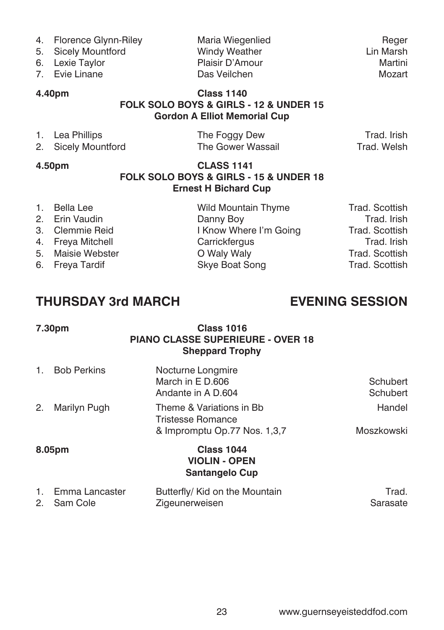- 
- 
- 6. Lexie Taylor
- 

4. Florence Glynn-Riley **Maria Wiegenlied** Reger<br>5. Sicely Mountford **Maria Windy Weather** Marsh Lin Marsh 5. Sicely Mountford **Windy Weather Communist Communist Communist Communist Communist Communist Communist Communist Communist Communist Communist Communist Communist Communist Communist Communist Communist Communist Communi** 7. Evie Linane Das Veilchen Mozart

#### **4.40pm Class 1140 FOLK SOLO BOYS & GIRLS - 12 & UNDER 15 Gordon A Elliot Memorial Cup**

| 1. Lea Phillips     | The Foggy Dew     | Trad, Irish |
|---------------------|-------------------|-------------|
| 2. Sicely Mountford | The Gower Wassail | Trad, Welsh |

### **4.50pm CLASS 1141 FOLK SOLO BOYS & GIRLS - 15 & UNDER 18 Ernest H Bichard Cup**

| 1. Bella Lee      | Wild Mountain Thyme    | Trad. Scottish |
|-------------------|------------------------|----------------|
| 2. Erin Vaudin    | Danny Boy              | Trad. Irish    |
| 3. Clemmie Reid   | I Know Where I'm Going | Trad. Scottish |
| 4. Freva Mitchell | Carrickfergus          | Trad, Irish    |
| 5. Maisie Webster | O Waly Waly            | Trad. Scottish |
| 6. Freva Tardif   | Skye Boat Song         | Trad. Scottish |
|                   |                        |                |

# **THURSDAY 3rd MARCH EVENING SESSION**

| 7.30pm             | <b>Class 1016</b><br><b>PIANO CLASSE SUPERIEURE - OVER 18</b><br><b>Sheppard Trophy</b>            |                      |
|--------------------|----------------------------------------------------------------------------------------------------|----------------------|
| <b>Bob Perkins</b> | Nocturne Longmire<br>March in E D.606<br>Andante in A D.604                                        | Schubert<br>Schubert |
| Marilyn Pugh<br>2. | Theme & Variations in Bb<br>Tristesse Romance                                                      | Handel<br>Moszkowski |
| 8.05pm             | & Impromptu Op.77 Nos. 1,3,7<br><b>Class 1044</b><br><b>VIOLIN - OPEN</b><br><b>Santangelo Cup</b> |                      |
|                    |                                                                                                    |                      |

| 1. Emma Lancaster | Butterfly/ Kid on the Mountain | Trad.    |
|-------------------|--------------------------------|----------|
| 2. Sam Cole       | Zigeunerweisen                 | Sarasate |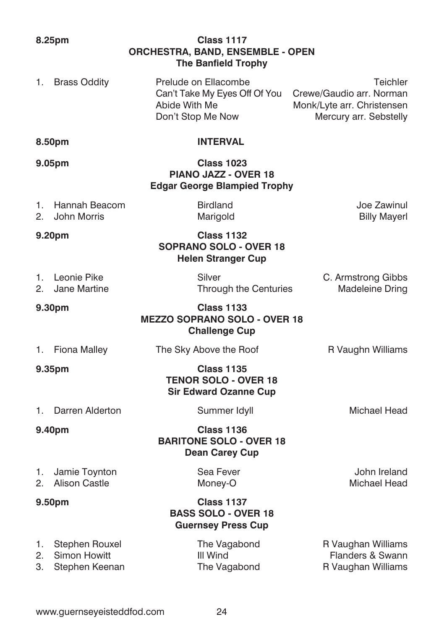**ORCHESTRA, BAND, ENSEMBLE - OPEN The Banfield Trophy** 1. Brass Oddity Prelude on Ellacombe<br>Can't Take My Eves Off Of You Crewe/Gaudio arr. Norman Can't Take My Eyes Off Of You Abide With Me Monk/Lyte arr. Christensen Don't Stop Me Now Mercury arr. Sebstelly **8.50pm INTERVAL 9.05pm Class 1023 PIANO JAZZ - OVER 18 Edgar George Blampied Trophy** 1. Hannah Beacom Birdland Joe Zawinul 2. John Morris **Marigold** Billy Mayerl Billy Mayerl **9.20pm Class 1132 SOPRANO SOLO - OVER 18 Helen Stranger Cup** 1. Leonie Pike C. Armstrong Gibbs C. Armstrong Gibbs 2. Jane Martine **Through the Centuries** Madeleine Dring **9.30pm Class 1133 MEZZO SOPRANO SOLO - OVER 18 Challenge Cup** 1. Fiona Malley **The Sky Above the Roof** R Vaughn Williams **9.35pm Class 1135 TENOR SOLO - OVER 18 Sir Edward Ozanne Cup** 1. Darren Alderton **Summer Idyll** Michael Head **9.40pm Class 1136 BARITONE SOLO - OVER 18 Dean Carey Cup** 1. Jamie Toynton Sea Fever Sea Fever John Ireland<br>2. Alison Castle Money-O Money-O Michael Head 2. Alison Castle Money-O

**8.25pm Class 1117**

**9.50pm Class 1137 BASS SOLO - OVER 18 Guernsey Press Cup**

1. Stephen Rouxel The Vagabond R Vaughan Williams 2. Simon Howitt **III** Wind **Flanders & Swann** 3. Stephen Keenan The Vagabond R Vaughan Williams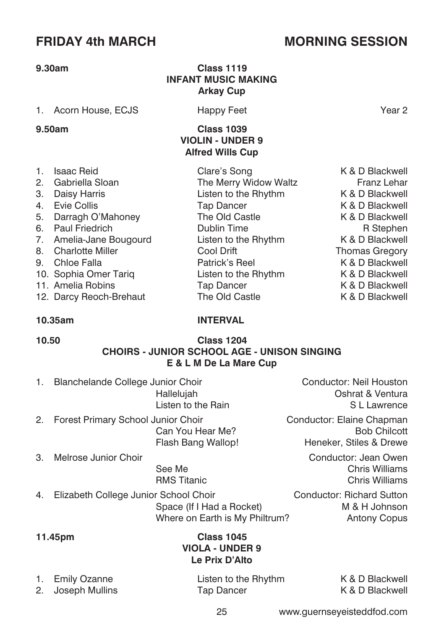# **FRIDAY 4th MARCH MORNING SESSION**

#### **9.30am Class 1119**

#### 1. Acorn House, ECJS Happy Feet Year 2

#### **9.50am Class 1039**

| 1. | <b>Isaac Reid</b>       | Clare's Song          | K & D Blackwell       |
|----|-------------------------|-----------------------|-----------------------|
|    | 2. Gabriella Sloan      | The Merry Widow Waltz | <b>Franz Lehar</b>    |
|    | 3. Daisy Harris         | Listen to the Rhythm  | K & D Blackwell       |
|    | 4. Evie Collis          | Tap Dancer            | K & D Blackwell       |
|    | 5. Darragh O'Mahoney    | The Old Castle        | K & D Blackwell       |
|    | 6. Paul Friedrich       | <b>Dublin Time</b>    | R Stephen             |
|    | 7. Amelia-Jane Bougourd | Listen to the Rhythm  | K & D Blackwell       |
|    | 8. Charlotte Miller     | Cool Drift            | <b>Thomas Gregory</b> |
|    | 9. Chloe Falla          | Patrick's Reel        | K & D Blackwell       |
|    | 10. Sophia Omer Tariq   | Listen to the Rhythm  | K & D Blackwell       |
|    | 11. Amelia Robins       | Tap Dancer            | K & D Blackwell       |
|    | 12. Darcy Reoch-Brehaut | The Old Castle        | K & D Blackwell       |

# K & D Blackwell K & D Blackwell K & D Blackwell

### **10.35am INTERVAL**

**INFANT MUSIC MAKING Arkay Cup**

> **VIOLIN - UNDER 9 Alfred Wills Cup**

### **10.50 Class 1204 CHOIRS - JUNIOR SCHOOL AGE - UNISON SINGING E & L M De La Mare Cup**

- 1. Blanchelande College Junior Choir Conductor: Neil Houston
- 2. Forest Primary School Junior Choir Choir Conductor: Elaine Chapman
- 3. Melrose Junior Choir Conductor: Jean Owen
	-

 Hallelujah Oshrat & Ventura Listen to the Rain SL Lawrence

Can You Hear Me? Bob Chilcott Flash Bang Wallop! Heneker, Stiles & Drewe

 See Me Chris Williams RMS Titanic **Chris Williams** 

4. Elizabeth College Junior School Choir Conductor: Richard Sutton Space (If I Had a Rocket) M & H Johnson Where on Earth is My Philtrum? Antony Copus

### **11.45pm Class 1045 VIOLA - UNDER 9 Le Prix D'Alto**

1. Emily Ozanne **1. Listen to the Rhythm** K & D Blackwell<br>2. Joseph Mullins **Contains Container Container** K & D Blackwell 2. Joseph Mullins Tap Dancer

25 www.guernseyeisteddfod.com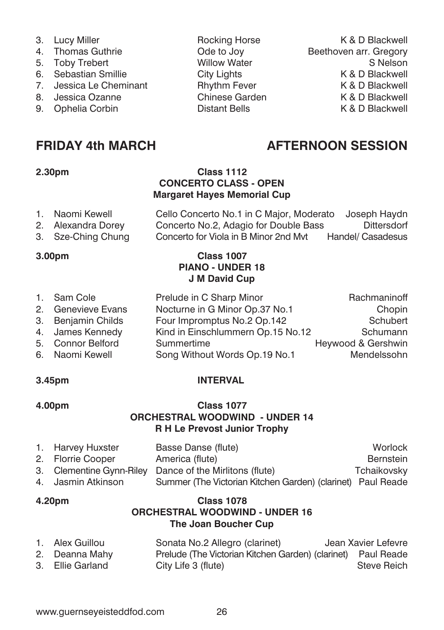- 
- 5. Toby Trebert
- 
- 
- 
- 9. Ophelia Corbin **Distant Bells** K & D Blackwell

- **2.30pm Class 1112 CONCERTO CLASS - OPEN Margaret Hayes Memorial Cup**
- 1. Naomi Kewell Cello Concerto No.1 in C Major, Moderato Joseph Haydn<br>2. Alexandra Dorey Concerto No.2 Adagio for Double Bass Dittersdorf 2. Alexandra Dorey Concerto No.2, Adagio for Double Bass 3. Sze-Ching Chung Concerto for Viola in B Minor 2nd Mvt Handel/ Casadesus

#### **3.00pm Class 1007 PIANO - UNDER 18 J M David Cup**

1. Sam Cole **Prelude in C Sharp Minor** Rachmaninoff 2. Genevieve Evans Nocturne in G Minor Op.37 No.1 Chopin 3. Benjamin Childs Four Impromptus No.2 Op.142 Schubert<br>3. James Kennedy Kind in Finschlummern Op.15 No.12 Schumann 4. James Kennedy Kind in Einschlummern Op.15 No.12 5. Connor Belford Summertime **Summertime** Heywood & Gershwin 6. Naomi Kewell Song Without Words Op.19 No.1 Mendelssohn

### **3.45pm INTERVAL**

### **4.00pm Class 1077 ORCHESTRAL WOODWIND - UNDER 14 R H Le Prevost Junior Trophy**

| 1. Harvey Huxster  | Basse Danse (flute)                                         | Worlock     |
|--------------------|-------------------------------------------------------------|-------------|
| 2. Florrie Cooper  | America (flute)                                             | Bernstein   |
|                    | 3. Clementine Gynn-Riley Dance of the Mirlitons (flute)     | Tchaikovsky |
| 4. Jasmin Atkinson | Summer (The Victorian Kitchen Garden) (clarinet) Paul Reade |             |

### **4.20pm Class 1078 ORCHESTRAL WOODWIND - UNDER 16 The Joan Boucher Cup**

| 1. Alex Guillou  | Sonata No.2 Allegro (clarinet)                               | Jean Xavier Lefevre |
|------------------|--------------------------------------------------------------|---------------------|
| 2. Deanna Mahy   | Prelude (The Victorian Kitchen Garden) (clarinet) Paul Reade |                     |
| 3. Ellie Garland | City Life 3 (flute)                                          | Steve Reich         |

# **FRIDAY 4th MARCH AFTERNOON SESSION**

3. Lucy Miller **Rocking Horse** K & D Blackwell 4. Thomas Guthrie Ode to Joy Beethoven arr. Gregory 6. Sebastian Smillie **City Lights** City Lights K & D Blackwell 7. Jessica Le Cheminant Rhythm Fever The Research Research Research R & D Blackwell 8. Jessica Ozanne Chinese Garden K & D Blackwell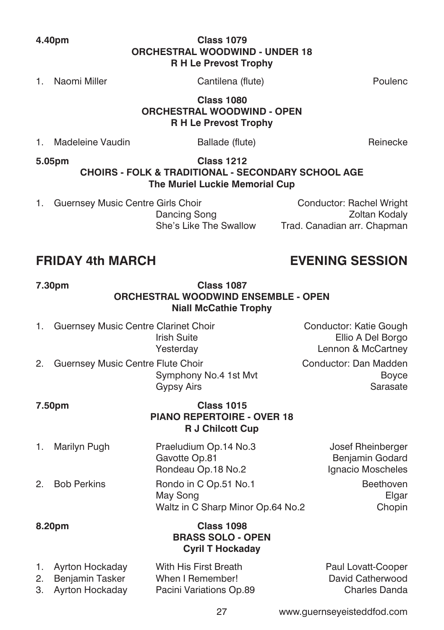### **4.40pm Class 1079 ORCHESTRAL WOODWIND - UNDER 18 R H Le Prevost Trophy**

1. Naomi Miller Cantilena (flute) Poulenc

#### **Class 1080 ORCHESTRAL WOODWIND - OPEN R H Le Prevost Trophy**

| Madeleine Vaudin | Ballade (flute) | Reinecke |
|------------------|-----------------|----------|

**5.05pm Class 1212**

### **CHOIRS - FOLK & TRADITIONAL - SECONDARY SCHOOL AGE The Muriel Luckie Memorial Cup**

1. Guernsey Music Centre Girls Choir Conductor: Rachel Wright

Dancing Song **Zoltan Kodaly** She's Like The Swallow Trad. Canadian arr. Chapman

# **FRIDAY 4th MARCH EVENING SESSION**

### **7.30pm Class 1087 ORCHESTRAL WOODWIND ENSEMBLE - OPEN Niall McCathie Trophy**

- 1. Guernsey Music Centre Clarinet Choir **Conductor: Katie Gough** Irish Suite Ellio A Del Borgo
- 2. Guernsey Music Centre Flute Choir Conductor: Dan Madden

 Yesterday Lennon & McCartney Symphony No.4 1st Mvt Boyce Gypsy Airs **Sarasate** 

### **7.50pm Class 1015 PIANO REPERTOIRE - OVER 18 R J Chilcott Cup**

1. Marilyn Pugh Praeludium Op.14 No.3 Josef Rheinberger Gavotte Op.81 Benjamin Godard Rondeau Op.18 No.2 Ignacio Moscheles 2. Bob Perkins **Rondo in C Op.51 No.1** Beethoven May Song the Communication of the Clark Elgar Waltz in C Sharp Minor Op.64 No.2 Chopin

**8.20pm Class 1098**

| <b>Class 1098</b>        |
|--------------------------|
| <b>BRASS SOLO - OPEN</b> |
| <b>Cyril T Hockaday</b>  |

| 1. Ayrton Hockaday | With His First Breath   | Paul Lovatt-Cooper |
|--------------------|-------------------------|--------------------|
| 2. Benjamin Tasker | When I Remember!        | David Catherwood   |
| 3. Ayrton Hockaday | Pacini Variations Op.89 | Charles Danda      |

27 www.guernseyeisteddfod.com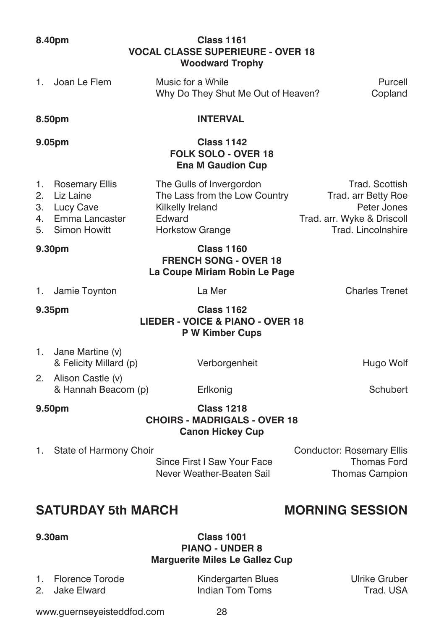www.guernseyeisteddfod.com 28

#### **8.40pm Class 1161 VOCAL CLASSE SUPERIEURE - OVER 18 Woodward Trophy**

| 1. Joan Le Flem | Music for a While                  | Purcell |
|-----------------|------------------------------------|---------|
|                 | Why Do They Shut Me Out of Heaven? | Copland |

#### **8.50pm INTERVAL**

### **9.05pm Class 1142 FOLK SOLO - OVER 18 Ena M Gaudion Cup**

| 1. Rosemary Ellis | The Gulls of Invergordon      | Trad. Scottish             |
|-------------------|-------------------------------|----------------------------|
| 2. Liz Laine      | The Lass from the Low Country | Trad. arr Betty Roe        |
| 3. Lucy Cave      | Kilkelly Ireland              | Peter Jones                |
| 4. Emma Lancaster | Edward                        | Trad. arr. Wyke & Driscoll |
| 5. Simon Howitt   | <b>Horkstow Grange</b>        |                            |

### **9.30pm Class 1160 FRENCH SONG - OVER 18 La Coupe Miriam Robin Le Page**

| 1. | Jamie Toynto |  |
|----|--------------|--|
|    |              |  |

on and La Mer Charles Trenet

**9.35pm Class 1162 LIEDER - VOICE & PIANO - OVER 18 P W Kimber Cups**

- 1. Jane Martine (v) & Felicity Millard (p) Verborgenheit Hugo Wolf
- 2. Alison Castle (v) & Hannah Beacom (p) Erlkonig Schubert

#### **9.50pm Class 1218 CHOIRS - MADRIGALS - OVER 18 Canon Hickey Cup**

1. State of Harmony Choir **Conductor: Rosemary Ellis** Since First I Saw Your Face Thomas Ford Never Weather-Beaten Sail Thomas Campion

# **SATURDAY 5th MARCH MORNING SESSION**

### **9.30am Class 1001 PIANO - UNDER 8 Marguerite Miles Le Gallez Cup**

1. Florence Torode Kindergarten Blues Ulrike Gruber Indian Tom Toms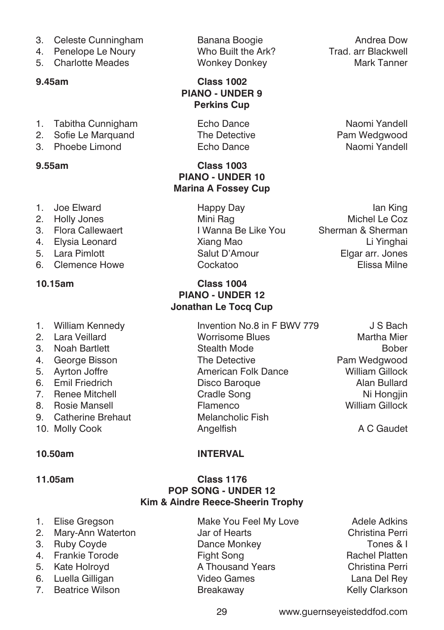- 
- 
- 5. Charlotte Meades

#### **9.45am Class 1002**

- 1. Tabitha Cunnigham **Echo Dance** Naomi Yandell
- 2. Sofie Le Marquand The Detective **Pam Wedgwood**
- 3. Phoebe Limond Echo Dance Naomi Yandell

### **9.55am Class 1003**

- 
- 
- 
- 
- 
- 

#### **10.15am Class 1004**

- 1. William Kennedy **Invention No.8 in F BWV 779** J S Bach
- 2. Lara Veillard Worrisome Blues Martha Mier
- 3. Noah Bartlett Stealth Mode Stealth Mode
- 4. George Bisson The Detective Pam Wedgwood
- 
- 6. Emil Friedrich Disco Baroque Alan Bullard
- 
- 
- 9. Catherine Brehaut Melancholic Fish
- 10. Molly Cook **Angelfish** Angelfish A C Gaudet

### **10.50am INTERVAL**

**PIANO - UNDER 9 Perkins Cup**

**PIANO - UNDER 10 Marina A Fossey Cup**

**PIANO - UNDER 12 Jonathan Le Tocq Cup**

#### **11.05am Class 1176 POP SONG - UNDER 12 Kim & Aindre Reece-Sheerin Trophy**

- 1. Elise Gregson **Make You Feel My Love** Adele Adkins 2. Mary-Ann Waterton Jar of Hearts Christina Perri 3. Ruby Coyde **Dance Monkey Communist Contract Order** Tones & I 4. Frankie Torode **Fight Song Rachel Platten** Rachel Platten
- 
- 

5. Kate Holroyd **A Thousand Years** Christina Perri 6. Luella Gilligan Video Games Lana Del Rey 7. Beatrice Wilson **Breakaway Constructs** Realty Clarkson

3. Celeste Cunningham Banana Boogie **Andrea Dow**<br>4. Penelope Le Noury **Moo Built the Ark?** Tradiar Blackwell 4. Penelope Le Noury **Who Built the Ark?** Trad. arr Blackwell<br>5. Charlotte Meades **Wonkey Donkey** Wonkey (Mark Tanner

- 1. Joe Elward **Ian King Communist Communist Happy Day** International Communist Communist Communist Communist Communist Communist Communist Communist Communist Communist Communist Communist Communist Communist Communist Com 2. Holly Jones **Mini Rag Mini Rag Michel Le Coz** 3. Flora Callewaert I Wanna Be Like You Sherman & Sherman 4. Elysia Leonard Xiang Mao Li Yinghai 5. Lara Pimlott Salut D'Amour Elgar arr. Jones 6. Clemence Howe Cockatoo Elissa Milne
- 5. Ayrton Joffre **American Folk Dance** William Gillock 7. Renee Mitchell **Cradle Song Nights Cradle Song Ni Hongjin** 8. Rosie Mansell Flamenco William Gillock

29 www.guernseyeisteddfod.com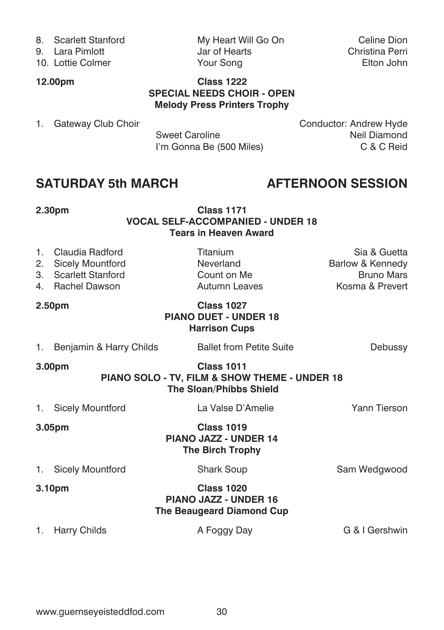- 
- 
- 10. Lottie Colmer

8. Scarlett Stanford My Heart Will Go On Celine Dion<br>
9. Lara Pimlott Christina Perri 9. Lara Pimlott Jar of Hearts Christina Perri

### **12.00pm Class 1222 SPECIAL NEEDS CHOIR - OPEN Melody Press Printers Trophy**

I'm Gonna Be (500 Miles)

1. Gateway Club Choir Sweet Caroline Conductor: Andrew Hyde<br>Neil Diamond Sweet Caroline Sweet Caroline **Neil Diamond**<br>
I'm Gonna Be (500 Miles) **Net Caroling Caroling Caroling Caroling Caroling Caroling Caroling Caroling Caroling C** 

# **SATURDAY 5th MARCH AFTERNOON SESSION**

### **2.30pm Class 1171 VOCAL SELF-ACCOMPANIED - UNDER 18 Tears in Heaven Award**

| 1.<br>2. | Claudia Radford<br><b>Sicely Mountford</b><br>3. Scarlett Stanford<br>4. Rachel Dawson                         | Titanium<br>Neverland<br>Count on Me<br><b>Autumn Leaves</b>                   | Sia & Guetta<br>Barlow & Kennedy<br><b>Bruno Mars</b><br>Kosma & Prevert |  |  |
|----------|----------------------------------------------------------------------------------------------------------------|--------------------------------------------------------------------------------|--------------------------------------------------------------------------|--|--|
|          | 2.50pm                                                                                                         | <b>Class 1027</b><br><b>PIANO DUET - UNDER 18</b><br><b>Harrison Cups</b>      |                                                                          |  |  |
| 1.       | Benjamin & Harry Childs                                                                                        | <b>Ballet from Petite Suite</b>                                                | Debussy                                                                  |  |  |
|          | <b>Class 1011</b><br>3.00pm<br>PIANO SOLO - TV, FILM & SHOW THEME - UNDER 18<br><b>The Sloan/Phibbs Shield</b> |                                                                                |                                                                          |  |  |
| 1.       | <b>Sicely Mountford</b>                                                                                        | La Valse D'Amelie                                                              | Yann Tierson                                                             |  |  |
|          | 3.05 <sub>pm</sub>                                                                                             | <b>Class 1019</b><br>PIANO JAZZ - UNDER 14<br><b>The Birch Trophy</b>          |                                                                          |  |  |
|          | 1. Sicely Mountford                                                                                            | <b>Shark Soup</b>                                                              | Sam Wedgwood                                                             |  |  |
|          | 3.10pm                                                                                                         | <b>Class 1020</b><br><b>PIANO JAZZ - UNDER 16</b><br>The Beaugeard Diamond Cup |                                                                          |  |  |
|          | 1. Harry Childs                                                                                                | A Foggy Day                                                                    | G & I Gershwin                                                           |  |  |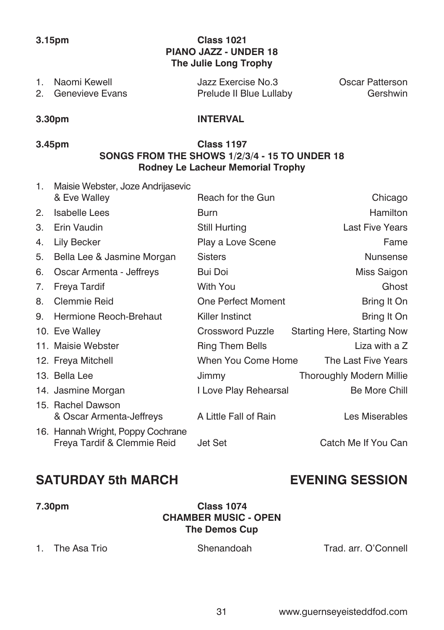### **3.15pm Class 1021 PIANO JAZZ - UNDER 18 The Julie Long Trophy**

| 1. Naomi Kewell    | Jazz Exercise No.3      | Oscar Patterson |
|--------------------|-------------------------|-----------------|
| 2. Genevieve Evans | Prelude II Blue Lullaby | Gershwin        |

### **3.30pm INTERVAL**

### **3.45pm Class 1197 SONGS FROM THE SHOWS 1/2/3/4 - 15 TO UNDER 18 Rodney Le Lacheur Memorial Trophy**

| 1. | Maisie Webster, Joze Andrijasevic                                |                       |                                 |
|----|------------------------------------------------------------------|-----------------------|---------------------------------|
|    | & Eve Walley                                                     | Reach for the Gun     | Chicago                         |
| 2. | <b>Isabelle Lees</b>                                             | Burn                  | <b>Hamilton</b>                 |
| 3. | Erin Vaudin                                                      | Still Hurting         | <b>Last Five Years</b>          |
| 4. | Lily Becker                                                      | Play a Love Scene     | Fame                            |
| 5. | Bella Lee & Jasmine Morgan                                       | <b>Sisters</b>        | <b>Nunsense</b>                 |
| 6. | Oscar Armenta - Jeffreys                                         | Bui Doi               | Miss Saigon                     |
| 7. | Freya Tardif                                                     | With You              | Ghost                           |
| 8. | Clemmie Reid                                                     | One Perfect Moment    | Bring It On                     |
| 9. | Hermione Reoch-Brehaut                                           | Killer Instinct       | Bring It On                     |
|    | 10. Eve Walley                                                   | Crossword Puzzle      | Starting Here, Starting Now     |
|    | 11. Maisie Webster                                               | Ring Them Bells       | Liza with a Z                   |
|    | 12. Freya Mitchell                                               | When You Come Home    | The Last Five Years             |
|    | 13. Bella Lee                                                    | Jimmy                 | <b>Thoroughly Modern Millie</b> |
|    | 14. Jasmine Morgan                                               | I Love Play Rehearsal | Be More Chill                   |
|    | 15. Rachel Dawson                                                |                       |                                 |
|    | & Oscar Armenta-Jeffreys                                         | A Little Fall of Rain | Les Miserables                  |
|    | 16. Hannah Wright, Poppy Cochrane<br>Freya Tardif & Clemmie Reid | Jet Set               | Catch Me If You Can             |

# **SATURDAY 5th MARCH EVENING SESSION**

**7.30pm Class 1074 CHAMBER MUSIC - OPEN The Demos Cup**

1. The Asa Trio Shenandoah Trad. arr. O'Connell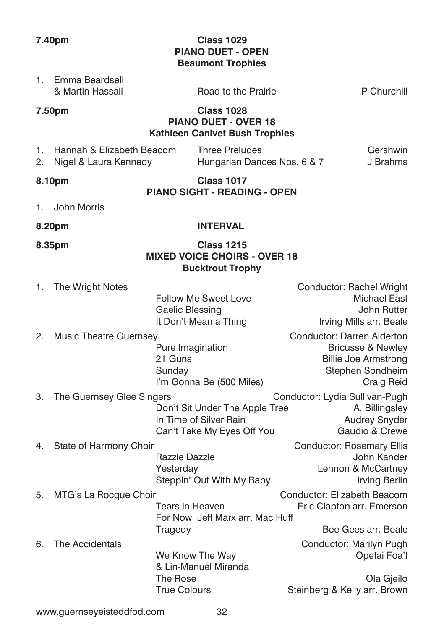1. Emma Beardsell

### **7.40pm Class 1029 PIANO DUET - OPEN Beaumont Trophies**

| 7.50pm                                                         |                                            |                                                                                           |                                                                                                                             |
|----------------------------------------------------------------|--------------------------------------------|-------------------------------------------------------------------------------------------|-----------------------------------------------------------------------------------------------------------------------------|
|                                                                |                                            | <b>Class 1028</b><br><b>PIANO DUET - OVER 18</b><br><b>Kathleen Canivet Bush Trophies</b> |                                                                                                                             |
| Hannah & Elizabeth Beacom<br>1.<br>2.<br>Nigel & Laura Kennedy |                                            | <b>Three Preludes</b><br>Hungarian Dances Nos. 6 & 7                                      | Gershwin<br>J Brahms                                                                                                        |
| 8.10pm                                                         |                                            | <b>Class 1017</b><br><b>PIANO SIGHT - READING - OPEN</b>                                  |                                                                                                                             |
| <b>John Morris</b><br>1.                                       |                                            |                                                                                           |                                                                                                                             |
| 8.20pm                                                         |                                            | <b>INTERVAL</b>                                                                           |                                                                                                                             |
| 8.35pm                                                         |                                            | <b>Class 1215</b><br><b>MIXED VOICE CHOIRS - OVER 18</b><br><b>Bucktrout Trophy</b>       |                                                                                                                             |
| 1.<br>The Wright Notes                                         | Gaelic Blessing                            | <b>Follow Me Sweet Love</b><br>It Don't Mean a Thing                                      | Conductor: Rachel Wright<br><b>Michael East</b><br>John Rutter<br>Irving Mills arr. Beale                                   |
| <b>Music Theatre Guernsey</b><br>2.                            | 21 Guns<br>Sunday                          | Pure Imagination<br>I'm Gonna Be (500 Miles)                                              | Conductor: Darren Alderton<br><b>Bricusse &amp; Newley</b><br><b>Billie Joe Armstrong</b><br>Stephen Sondheim<br>Craig Reid |
| З.<br>The Guernsey Glee Singers                                |                                            | Don't Sit Under The Apple Tree<br>In Time of Silver Rain<br>Can't Take My Eyes Off You    | Conductor: Lydia Sullivan-Pugh<br>A. Billingsley<br><b>Audrey Snyder</b><br>Gaudio & Crewe                                  |
| 4.<br>State of Harmony Choir                                   | Razzle Dazzle<br>Yesterday                 | Steppin' Out With My Baby                                                                 | Conductor: Rosemary Ellis<br>John Kander<br>Lennon & McCartney<br>Irving Berlin                                             |
| MTG's La Rocque Choir<br>5.                                    |                                            | Tears in Heaven<br>For Now Jeff Marx arr, Mac Huff                                        | Conductor: Elizabeth Beacom<br>Eric Clapton arr. Emerson                                                                    |
| The Accidentals<br>6.                                          | Tragedy<br>The Rose<br><b>True Colours</b> | We Know The Way<br>& Lin-Manuel Miranda                                                   | Bee Gees arr. Beale<br>Conductor: Marilyn Pugh<br>Opetai Foa'l<br>Ola Gjeilo<br>Steinberg & Kelly arr. Brown                |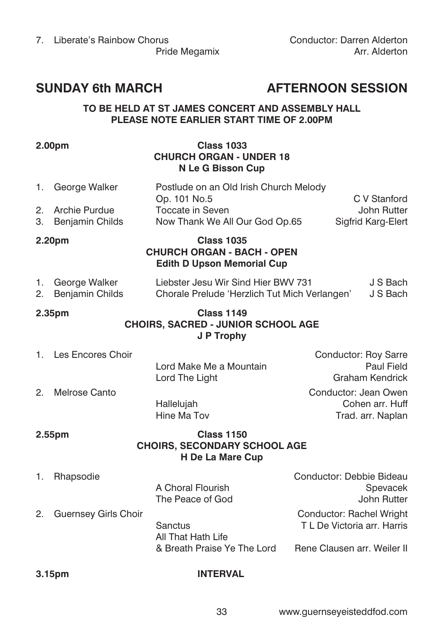# **SUNDAY 6th MARCH AFTERNOON SESSION**

#### **TO BE HELD AT ST JAMES CONCERT AND ASSEMBLY HALL PLEASE NOTE EARLIER START TIME OF 2.00PM**

### **2.00pm Class 1033 CHURCH ORGAN - UNDER 18 N Le G Bisson Cup**

1. George Walker Postlude on an Old Irish Church Melody Op. 101 No.5 C V Stanford 2. Archie Purdue Toccate in Seven<br>
2. Beniamin Childs Now Thank We All Our God Op.65 Sigfrid Karg-Elert 3. Benjamin Childs Now Thank We All Our God Op.65

### **2.20pm Class 1035 CHURCH ORGAN - BACH - OPEN Edith D Upson Memorial Cup**

| 1. George Walker   | Liebster Jesu Wir Sind Hier BWV 731           | J S Bach |
|--------------------|-----------------------------------------------|----------|
| 2. Benjamin Childs | Chorale Prelude 'Herzlich Tut Mich Verlangen' | J S Bach |

#### **2.35pm Class 1149 CHOIRS, SACRED - JUNIOR SCHOOL AGE J P Trophy**

| 1. Les Encores Choir |                         | Conductor: Roy Sarre |
|----------------------|-------------------------|----------------------|
|                      | Lord Make Me a Mountain | <b>Paul Field</b>    |
|                      | Lord The Light          | Graham Kendrick      |
| 2. Melrose Canto     |                         | Conductor: Jean Owen |

 Hallelujah Cohen arr. Huff Hine Ma Tov **Trad.** arr. Naplan

### **2.55pm Class 1150 CHOIRS, SECONDARY SCHOOL AGE H De La Mare Cup**

1. Rhapsodie Conductor: Debbie Bideau

 Sanctus T L De Victoria arr. Harris All That Hath Life & Breath Praise Ye The Lord Rene Clausen arr. Weiler II

A Choral Flourish Spevacek The Peace of God John Rutter 2. Guernsey Girls Choir Conductor: Rachel Wright

### **3.15pm INTERVAL**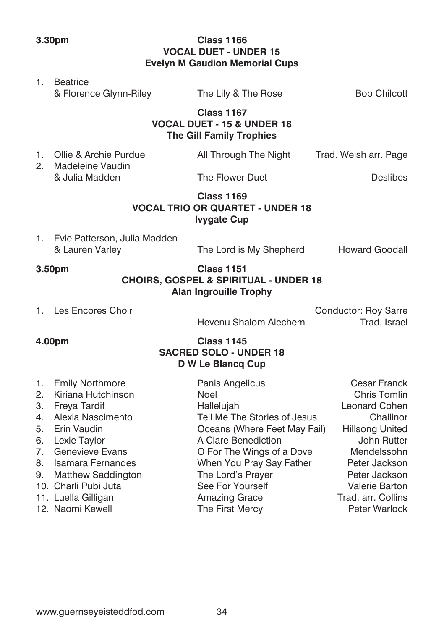**3.30pm Class 1166 VOCAL DUET - UNDER 15 Evelyn M Gaudion Memorial Cups**

### 1. Beatrice & Florence Glynn-Riley The Lily & The Rose Bob Chilcott  **Class 1167 VOCAL DUET - 15 & UNDER 18 The Gill Family Trophies** 1. Ollie & Archie Purdue **All Through The Night Trad. Welsh arr. Page** 2. Madeleine Vaudin & Julia Madden The Flower Duet Deslibes  **Class 1169 VOCAL TRIO OR QUARTET - UNDER 18 Ivygate Cup** 1. Evie Patterson, Julia Madden & Lauren Varley The Lord is My Shepherd Howard Goodall

#### **3.50pm Class 1151 CHOIRS, GOSPEL & SPIRITUAL - UNDER 18 Alan Ingrouille Trophy**

1. Les Encores Choir **Conductor: Roy Sarre** Conductor: Roy Sarre

Hevenu Shalom Alechem Trad. Israel

# **4.00pm Class 1145**

## **SACRED SOLO - UNDER 18 D W Le Blancq Cup**

| 1. Emily Northmore    | Panis Angelicus              | <b>Cesar Franck</b>   |
|-----------------------|------------------------------|-----------------------|
| 2. Kiriana Hutchinson | Noel                         | <b>Chris Tomlin</b>   |
| 3. Freya Tardif       | Hallelujah                   | <b>Leonard Cohen</b>  |
| 4. Alexia Nascimento  | Tell Me The Stories of Jesus | Challinor             |
| 5. Erin Vaudin        | Oceans (Where Feet May Fail) | Hillsong United       |
| 6. Lexie Taylor       | A Clare Benediction          | John Rutter           |
| 7. Genevieve Evans    | O For The Wings of a Dove    | Mendelssohn           |
| 8. Isamara Fernandes  | When You Pray Say Father     | Peter Jackson         |
| 9. Matthew Saddington | The Lord's Prayer            | Peter Jackson         |
| 10. Charli Pubi Juta  | See For Yourself             | <b>Valerie Barton</b> |
| 11. Luella Gilligan   | Amazing Grace                | Trad. arr. Collins    |
| 12. Naomi Kewell      | The First Mercy              | Peter Warlock         |
|                       |                              |                       |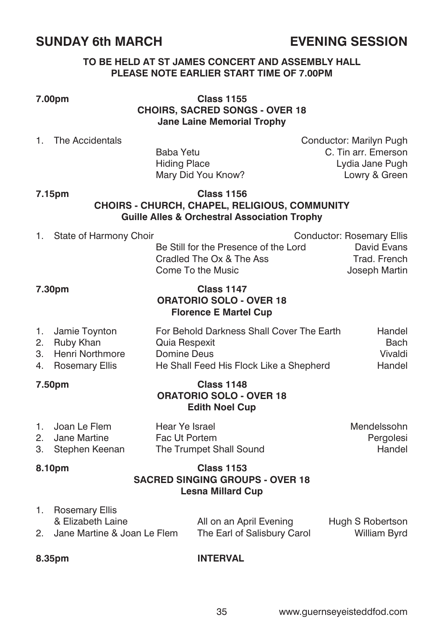# **SUNDAY 6th MARCH EVENING SESSION**

#### **TO BE HELD AT ST JAMES CONCERT AND ASSEMBLY HALL PLEASE NOTE EARLIER START TIME OF 7.00PM**

**7.00pm Class 1155 CHOIRS, SACRED SONGS - OVER 18 Jane Laine Memorial Trophy**

1. The Accidentals Conductor: Marilyn Pugh Baba Yetu C. Tin arr. Emerson Hiding Place **Lydia Jane Pugh** Mary Did You Know? Lowry & Green

#### **7.15pm Class 1156 CHOIRS - CHURCH, CHAPEL, RELIGIOUS, COMMUNITY Guille Alles & Orchestral Association Trophy**

| 7.30pm |                           | <b>Class 1147</b>                             |                               |  |
|--------|---------------------------|-----------------------------------------------|-------------------------------|--|
|        |                           | Cradled The Ox & The Ass<br>Come To the Music | Trad. French<br>Joseph Martin |  |
|        |                           | Be Still for the Presence of the Lord         | David Evans                   |  |
|        | 1. State of Harmony Choir |                                               | Conductor: Rosemary Ellis     |  |

# **ORATORIO SOLO - OVER 18 Florence E Martel Cup**

| 1. Jamie Toynton   | For Behold Darkness Shall Cover The Earth | Handel  |
|--------------------|-------------------------------------------|---------|
| 2. Ruby Khan       | Quia Respexit                             | Bach    |
| 3. Henri Northmore | Domine Deus                               | Vivaldi |
| 4. Rosemary Ellis  | He Shall Feed His Flock Like a Shepherd   | Handel  |

#### **7.50pm Class 1148 ORATORIO SOLO - OVER 18 Edith Noel Cup**

| 1. Joan Le Flem   | Hear Ye Israel          | Mendelssohn |
|-------------------|-------------------------|-------------|
| 2. Jane Martine   | Fac Ut Portem           | Pergolesi   |
| 3. Stephen Keenan | The Trumpet Shall Sound | Handel      |

#### **8.10pm Class 1153 SACRED SINGING GROUPS - OVER 18 Lesna Millard Cup**

| 1. Rosemary Ellis              |                             |                     |
|--------------------------------|-----------------------------|---------------------|
| & Elizabeth Laine              | All on an April Evening     | Hugh S Robertson    |
| 2. Jane Martine & Joan Le Flem | The Earl of Salisbury Carol | <b>William Byrd</b> |

#### **8.35pm INTERVAL**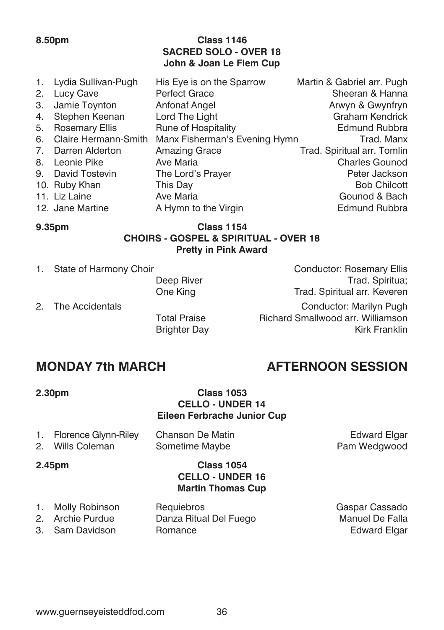### **8.50pm Class 1146 SACRED SOLO - OVER 18 John & Joan Le Flem Cup**

|    | 1. Lydia Sullivan-Pugh | His Eye is on the Sparrow     | Martin & Gabriel arr. Pugh  |
|----|------------------------|-------------------------------|-----------------------------|
|    | 2. Lucy Cave           | <b>Perfect Grace</b>          | Sheeran & Hanna             |
|    | 3. Jamie Toynton       | Anfonaf Angel                 | Arwyn & Gwynfryn            |
| 4. | Stephen Keenan         | Lord The Light                | <b>Graham Kendrick</b>      |
| 5. | <b>Rosemary Ellis</b>  | Rune of Hospitality           | Edmund Rubbra               |
| 6. | Claire Hermann-Smith   | Manx Fisherman's Evening Hymn | Trad, Manx                  |
|    | 7. Darren Alderton     | Amazing Grace                 | Trad. Spiritual arr. Tomlin |
|    | 8. Leonie Pike         | Ave Maria                     | <b>Charles Gounod</b>       |
|    | 9. David Tostevin      | The Lord's Prayer             | Peter Jackson               |
|    | 10. Ruby Khan          | This Day                      | <b>Bob Chilcott</b>         |
|    | 11. Liz Laine          | Ave Maria                     | Gounod & Bach               |
|    | 12. Jane Martine       | A Hymn to the Virgin          | Edmund Rubbra               |
|    |                        |                               |                             |

### **9.35pm Class 1154 CHOIRS - GOSPEL & SPIRITUAL - OVER 18 Pretty in Pink Award**

**Brighter Day** 

1. State of Harmony Choir **Conductor: Rosemary Ellis** Deep River Trad. Spiritua; One King Trad. Spiritual arr. Keveren

2. The Accidentals Conductor: Marilyn Pugh Total Praise **Richard Smallwood arr. Williamson**<br>Brighter Day

# **MONDAY 7th MARCH AFTERNOON SESSION**

### **2.30pm Class 1053 CELLO - UNDER 14 Eileen Ferbrache Junior Cup**

| 1. Florence Glynn-Riley | Chanson De Matin | <b>Edward Elgar</b> |
|-------------------------|------------------|---------------------|
| 2. Wills Coleman        | Sometime Maybe   | Pam Wedgwood        |

#### **2.45pm Class 1054 CELLO - UNDER 16 Martin Thomas Cup**

- 1. Molly Robinson Requiebros Gaspar Cassado Danza Ritual Del Fuego Manuel De Falla
- 3. Sam Davidson Romance **Communist Communist Communist Communist Communist Communist Communist Communist Communist Communist Communist Communist Communist Communist Communist Communist Communist Communist Communist Communi**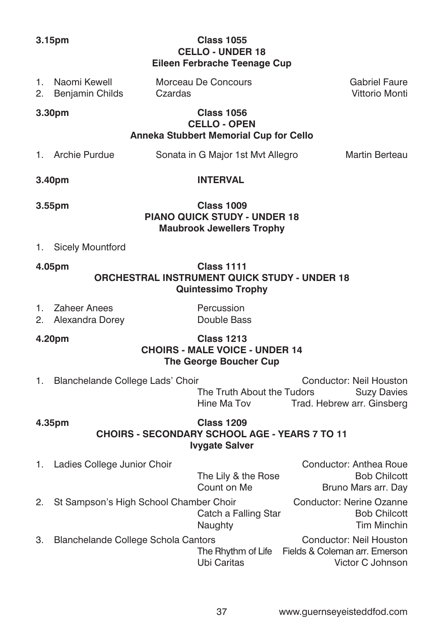| 3.15pm   |                                                                                                              | <b>Class 1055</b><br><b>CELLO - UNDER 18</b><br>Eileen Ferbrache Teenage Cup |                                                                                                |  |                                                                              |
|----------|--------------------------------------------------------------------------------------------------------------|------------------------------------------------------------------------------|------------------------------------------------------------------------------------------------|--|------------------------------------------------------------------------------|
| 1.<br>2. | Naomi Kewell<br>Benjamin Childs                                                                              | Czardas                                                                      | Morceau De Concours                                                                            |  | <b>Gabriel Faure</b><br>Vittorio Monti                                       |
|          | 3.30pm                                                                                                       |                                                                              | <b>Class 1056</b><br><b>CELLO - OPEN</b><br>Anneka Stubbert Memorial Cup for Cello             |  |                                                                              |
|          | 1. Archie Purdue                                                                                             |                                                                              | Sonata in G Major 1st Mvt Allegro                                                              |  | Martin Berteau                                                               |
|          | 3.40pm                                                                                                       |                                                                              | <b>INTERVAL</b>                                                                                |  |                                                                              |
|          | 3.55pm                                                                                                       |                                                                              | <b>Class 1009</b><br><b>PIANO QUICK STUDY - UNDER 18</b><br><b>Maubrook Jewellers Trophy</b>   |  |                                                                              |
| 1.       | <b>Sicely Mountford</b>                                                                                      |                                                                              |                                                                                                |  |                                                                              |
|          | 4.05pm                                                                                                       |                                                                              | <b>Class 1111</b><br>ORCHESTRAL INSTRUMENT QUICK STUDY - UNDER 18<br><b>Quintessimo Trophy</b> |  |                                                                              |
| 1.<br>2. | <b>Zaheer Anees</b><br>Alexandra Dorey                                                                       |                                                                              | Percussion<br>Double Bass                                                                      |  |                                                                              |
|          | 4.20pm                                                                                                       |                                                                              | <b>Class 1213</b><br><b>CHOIRS - MALE VOICE - UNDER 14</b><br>The George Boucher Cup           |  |                                                                              |
| 1.       | Blanchelande College Lads' Choir                                                                             |                                                                              | The Truth About the Tudors<br>Hine Ma Tov                                                      |  | Conductor: Neil Houston<br><b>Suzy Davies</b><br>Trad. Hebrew arr. Ginsberg  |
|          | <b>Class 1209</b><br>4.35pm<br><b>CHOIRS - SECONDARY SCHOOL AGE - YEARS 7 TO 11</b><br><b>Ivygate Salver</b> |                                                                              |                                                                                                |  |                                                                              |
| 1.       | Ladies College Junior Choir                                                                                  |                                                                              | The Lily & the Rose<br>Count on Me                                                             |  | Conductor: Anthea Roue<br><b>Bob Chilcott</b><br>Bruno Mars arr. Day         |
| 2.       | St Sampson's High School Chamber Choir                                                                       |                                                                              | Catch a Falling Star<br>Naughty                                                                |  | Conductor: Nerine Ozanne<br><b>Bob Chilcott</b><br><b>Tim Minchin</b>        |
| 3.       | Blanchelande College Schola Cantors                                                                          |                                                                              | The Rhythm of Life<br>Ubi Caritas                                                              |  | Conductor: Neil Houston<br>Fields & Coleman arr. Emerson<br>Victor C Johnson |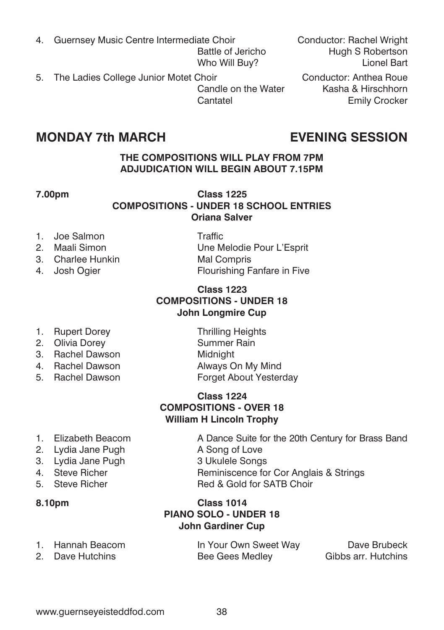- 4. Guernsey Music Centre Intermediate Choir Conductor: Rachel Wright Who Will Buy?
- 5. The Ladies College Junior Motet Choir Conductor: Anthea Roue<br>Candle on the Water Kasha & Hirschhorn Candle on the Water

## **MONDAY 7th MARCH EVENING SESSION**

### **THE COMPOSITIONS WILL PLAY FROM 7PM ADJUDICATION WILL BEGIN ABOUT 7.15PM**

### **7.00pm Class 1225 COMPOSITIONS - UNDER 18 SCHOOL ENTRIES Oriana Salver**

- 1. Joe Salmon Traffic<br>2. Maali Simon Traffic
- 
- 3. Charlee Hunkin Mal Compris
- 

Une Melodie Pour L'Esprit 4. Josh Ogier **Flourishing Fanfare in Five** 

### **Class 1223 COMPOSITIONS - UNDER 18 John Longmire Cup**

- 1. Rupert Dorey Thrilling Heights
- 2. Olivia Dorey **Summer Rain**
- 3. Rachel Dawson Midnight
- 4. Rachel Dawson Always On My Mind
- 

5. Rachel Dawson Forget About Yesterday

5. Steve Richer Red & Gold for SATB Choir

### **Class 1224 COMPOSITIONS - OVER 18 William H Lincoln Trophy**

- 1. Elizabeth Beacom **A Dance Suite for the 20th Century for Brass Band**
- 2. Lydia Jane Pugh A Song of Love
- 3. Lydia Jane Pugh 3 Ukulele Songs
- 4. Steve Richer **Reminiscence for Cor Anglais & Strings**<br>5. Steve Richer **Red & Gold for SATB Choir**
- 

**8.10pm Class 1014 PIANO SOLO - UNDER 18 John Gardiner Cup**

| 1. Hannah Beacom | In Your Own Sweet Way | Dave Brubeck        |
|------------------|-----------------------|---------------------|
| 2. Dave Hutchins | Bee Gees Medley       | Gibbs arr. Hutchins |

Battle of Jericho **Hugh S Robertson**<br>Who Will Buy? **Hugh S Robertson** 

Cantatel **Emily Crocker**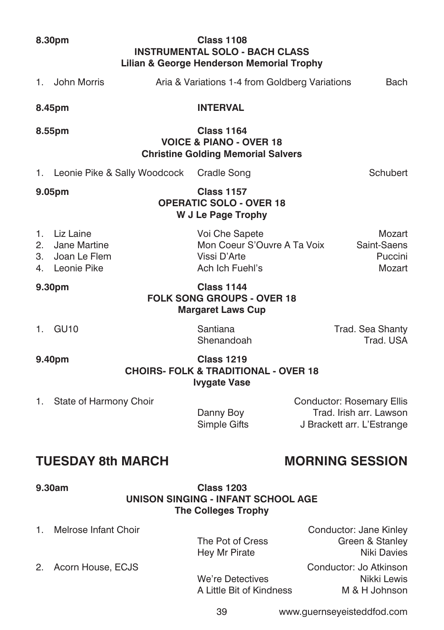**9.30am Class 1203 UNISON SINGING - INFANT SCHOOL AGE The Colleges Trophy** 1. Melrose Infant Choir Conductor: Jane Kinley

The Pot of Cress Green & Stanley Hey Mr Pirate Niki Davies 2. Acorn House, ECJS Conductor: Jo Atkinson We're Detectives Nikki Lewis<br>A Little Bit of Kindness M & H Johnson

A Little Bit of Kindness

39 www.guernseyeisteddfod.com

1. John Morris **Aria & Variations 1-4 from Goldberg Variations** Bach **8.45pm INTERVAL 8.55pm Class 1164 VOICE & PIANO - OVER 18 Christine Golding Memorial Salvers** 1. Leonie Pike & Sally Woodcock Cradle Song Schubert Schubert **9.05pm Class 1157 OPERATIC SOLO - OVER 18 W J Le Page Trophy** 1. Liz Laine Voi Che Sapete Mozart 2. Jane Martine **Mon Coeur S'Ouvre A Ta Voix** Saint-Saens<br>3. Joan Le Flem (Vissi D'Arte ) Vissi D'Arte 3. Joan Le Flem Vissi D'Arte 4. Leonie Pike **Ach Ich Fuehl's** Mozart Mozart **9.30pm Class 1144 FOLK SONG GROUPS - OVER 18 Margaret Laws Cup** 1. GU10 Santiana Santiana Trad. Sea Shanty<br>Shenandoah Trad. ISA Shenandoah **9.40pm Class 1219 CHOIRS- FOLK & TRADITIONAL - OVER 18 Ivygate Vase** 1. State of Harmony Choir **Conductor: Rosemary Ellis** Danny Boy **Trad.** Irish arr. Lawson

# **TUESDAY 8th MARCH MORNING SESSION**

Simple Gifts J Brackett arr. L'Estrange

**Lilian & George Henderson Memorial Trophy**

**INSTRUMENTAL SOLO - BACH CLASS**

### **8.30pm Class 1108**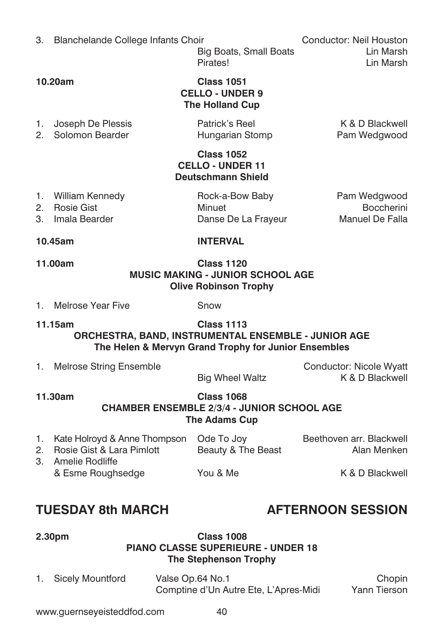# **10.45am INTERVAL 11.00am Class 1120 MUSIC MAKING - JUNIOR SCHOOL AGE Olive Robinson Trophy** 1. Melrose Year Five Snow

# **11.15am Class 1113 ORCHESTRA, BAND, INSTRUMENTAL ENSEMBLE - JUNIOR AGE**

| <b>ORCHESTRA, BAND, INSTRUMENTAL ENSEMBLE - JUNIOR AGE</b> | טווופטוט<br>The Helen & Mervyn Grand Trophy for Junior Ensembles |                                            |
|------------------------------------------------------------|------------------------------------------------------------------|--------------------------------------------|
| Melrose String Ensemble                                    | <b>Big Wheel Waltz</b>                                           | Conductor: Nicole Wyatt<br>K & D Blackwell |

|         |                                                                      | <b>Big Wheel Waltz</b>                                                                  | K & D E              |
|---------|----------------------------------------------------------------------|-----------------------------------------------------------------------------------------|----------------------|
| 11.30am |                                                                      | <b>Class 1068</b><br><b>CHAMBER ENSEMBLE 2/3/4 - JUNIOR SCHOOL AGE</b><br>The Adams Cup |                      |
|         | $K$ <sub>ata</sub> Halsaud $\Omega$ Anna Thompson $\Omega$ de Tellou |                                                                                         | $D$ oothough arr $D$ |

| 1. Kate Holroyd & Anne Thompson Ode To Joy<br>2. Rosie Gist & Lara Pimlott | Beauty & The Beast | Beethoven arr. Blackwell<br>Alan Menken |
|----------------------------------------------------------------------------|--------------------|-----------------------------------------|
| 3. Amelie Rodliffe<br>& Esme Roughsedge                                    | You & Me           | K & D Blackwell                         |

# **TUESDAY 8th MARCH AFTERNOON SESSION**

### **2.30pm Class 1008 PIANO CLASSE SUPERIEURE - UNDER 18 The Stephenson Trophy**

1. Sicely Mountford Valse Op.64 No.1 Chopin Comptine d'Un Autre Ete, L'Apres-Midi Yann Tierson

### **10.20am Class 1051 CELLO - UNDER 9 The Holland Cup**

1. Joseph De Plessis **Patrick's Reel Manual Accord R** & D Blackwell

2. Solomon Bearder **Example 2. Solomon Bearder Constructs** Hungarian Stomp **Pam Wedgwood** 

### **Class 1052 CELLO - UNDER 11 Deutschmann Shield**

| 10.45cm            | INITEDVAL           |                 |
|--------------------|---------------------|-----------------|
| 3. Imala Bearder   | Danse De La Frayeur | Manuel De Falla |
| 2. Rosie Gist      | Minuet              | Boccherini      |
| 1. William Kennedy | Rock-a-Bow Baby     | Pam Wedgwood    |

www.guernseyeisteddfod.com 40

3. Blanchelande College Infants Choir Conductor: Neil Houston Big Boats, Small Boats Lin Marsh Pirates! Lin Marsh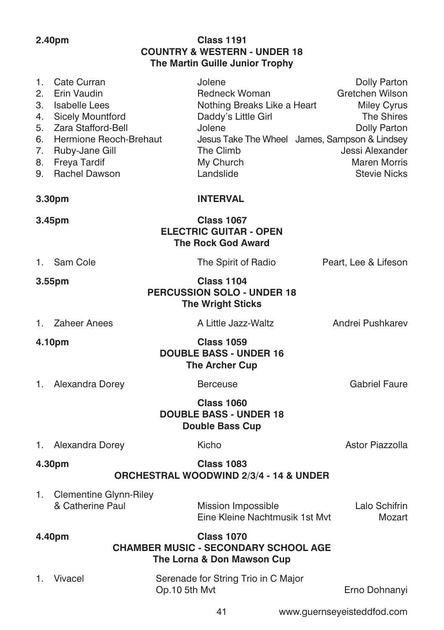### **2.40pm Class 1191 COUNTRY & WESTERN - UNDER 18 The Martin Guille Junior Trophy**

| 1.<br>2.<br>3.<br>4.<br>5.<br>6.<br>7.<br>8.<br>9. | Cate Curran<br>Erin Vaudin<br><b>Isabelle Lees</b><br>Sicely Mountford<br>Zara Stafford-Bell<br>Hermione Reoch-Brehaut<br>Ruby-Jane Gill<br>Freya Tardif<br>Rachel Dawson | Jolene<br>Redneck Woman<br>Nothing Breaks Like a Heart<br>Daddy's Little Girl<br>Jolene<br>Jesus Take The Wheel James, Sampson & Lindsey<br>The Climb<br>My Church<br>Landslide | Dolly Parton<br>Gretchen Wilson<br><b>Miley Cyrus</b><br>The Shires<br>Dolly Parton<br>Jessi Alexander<br><b>Maren Morris</b><br><b>Stevie Nicks</b> |
|----------------------------------------------------|---------------------------------------------------------------------------------------------------------------------------------------------------------------------------|---------------------------------------------------------------------------------------------------------------------------------------------------------------------------------|------------------------------------------------------------------------------------------------------------------------------------------------------|
|                                                    | 3.30pm                                                                                                                                                                    | <b>INTERVAL</b>                                                                                                                                                                 |                                                                                                                                                      |
|                                                    | 3.45pm                                                                                                                                                                    | <b>Class 1067</b><br><b>ELECTRIC GUITAR - OPEN</b><br><b>The Rock God Award</b>                                                                                                 |                                                                                                                                                      |
| 1.                                                 | Sam Cole                                                                                                                                                                  | The Spirit of Radio                                                                                                                                                             | Peart, Lee & Lifeson                                                                                                                                 |
|                                                    | 3.55pm                                                                                                                                                                    | <b>Class 1104</b><br>PERCUSSION SOLO - UNDER 18<br><b>The Wright Sticks</b>                                                                                                     |                                                                                                                                                      |
| 1.                                                 | Zaheer Anees                                                                                                                                                              | A Little Jazz-Waltz                                                                                                                                                             | Andrei Pushkarev                                                                                                                                     |
|                                                    | 4.10pm                                                                                                                                                                    | <b>Class 1059</b><br><b>DOUBLE BASS - UNDER 16</b><br><b>The Archer Cup</b>                                                                                                     |                                                                                                                                                      |
| 1.                                                 | Alexandra Dorey                                                                                                                                                           | <b>Berceuse</b>                                                                                                                                                                 | <b>Gabriel Faure</b>                                                                                                                                 |
|                                                    |                                                                                                                                                                           | <b>Class 1060</b><br><b>DOUBLE BASS - UNDER 18</b><br><b>Double Bass Cup</b>                                                                                                    |                                                                                                                                                      |
| 1.                                                 | Alexandra Dorey                                                                                                                                                           | Kicho                                                                                                                                                                           | Astor Piazzolla                                                                                                                                      |
|                                                    | 4.30pm                                                                                                                                                                    | <b>Class 1083</b><br><b>ORCHESTRAL WOODWIND 2/3/4 - 14 &amp; UNDER</b>                                                                                                          |                                                                                                                                                      |
| 1.                                                 | <b>Clementine Glynn-Riley</b><br>& Catherine Paul                                                                                                                         | Mission Impossible<br>Eine Kleine Nachtmusik 1st Myt                                                                                                                            | Lalo Schifrin<br>Mozart                                                                                                                              |
|                                                    | 4.40pm                                                                                                                                                                    | <b>Class 1070</b><br><b>CHAMBER MUSIC - SECONDARY SCHOOL AGE</b>                                                                                                                |                                                                                                                                                      |

**The Lorna & Don Mawson Cup**

| 1. Vivacel | Serenade for String Trio in C Major |               |
|------------|-------------------------------------|---------------|
|            | Op.10 5th Myt                       | Erno Dohnanyi |

41 www.guernseyeisteddfod.com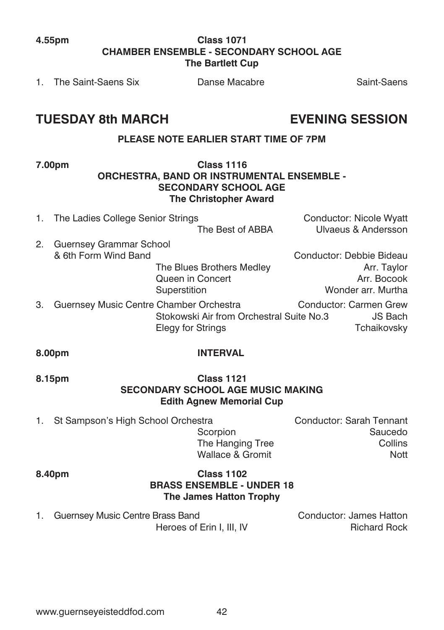### **4.55pm Class 1071 CHAMBER ENSEMBLE - SECONDARY SCHOOL AGE The Bartlett Cup**

1. The Saint-Saens Six Danse Macabre Saint-Saens Saint-Saens

# **TUESDAY 8th MARCH EVENING SESSION**

### **PLEASE NOTE EARLIER START TIME OF 7PM**

#### **7.00pm Class 1116 ORCHESTRA, BAND OR INSTRUMENTAL ENSEMBLE - SECONDARY SCHOOL AGE The Christopher Award**

- 1. The Ladies College Senior Strings Conductor: Nicole Wyatt The Best of ABBA Ulvaeus & Andersson 2. Guernsey Grammar School<br>& 6th Form Wind Band Conductor: Debbie Bideau The Blues Brothers Medley Manuel Arr. Taylor Queen in Concert **Arr. Bocook** Superstition **Wonder arr.** Murtha
- 3. Guernsey Music Centre Chamber Orchestra Conductor: Carmen Grew Stokowski Air from Orchestral Suite No.3 JS Bach Elegy for Strings Tchaikovsky

### **8.00pm INTERVAL**

#### **8.15pm Class 1121 SECONDARY SCHOOL AGE MUSIC MAKING Edith Agnew Memorial Cup**

1. St Sampson's High School Orchestra **Conductor:** Sarah Tennant

 Scorpion Saucedo The Hanging Tree Collins Wallace & Gromit Nott

### **8.40pm Class 1102 BRASS ENSEMBLE - UNDER 18 The James Hatton Trophy**

1. Guernsey Music Centre Brass Band Conductor: James Hatton

Heroes of Erin I, III, IV Richard Rock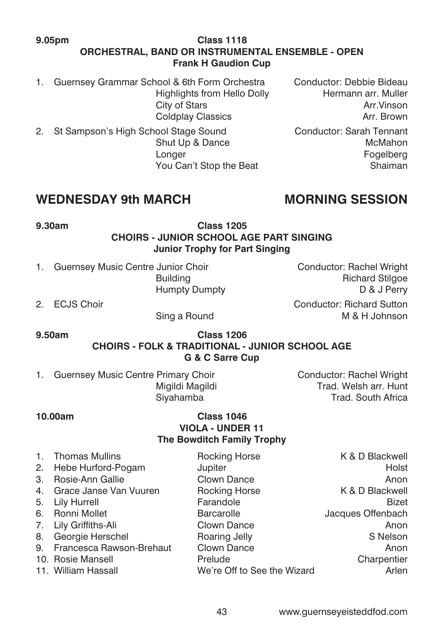#### **9.05pm Class 1118 ORCHESTRAL, BAND OR INSTRUMENTAL ENSEMBLE - OPEN Frank H Gaudion Cup**

- 1. Guernsey Grammar School & 6th Form Orchestra Conductor: Debbie Bideau<br>Highlights from Hello Dolly Hermann arr Muller Highlights from Hello Dolly
- 2. St Sampson's High School Stage Sound Conductor: Sarah Tennant Longer Fogelberg

City of Stars **Arr.Vinson** Coldplay Classics **Arr.** Brown

Shut Up & Dance McMahon You Can't Stop the Beat Shaiman

# **WEDNESDAY 9th MARCH MORNING SESSION**

**9.30am Class 1205 CHOIRS - JUNIOR SCHOOL AGE PART SINGING Junior Trophy for Part Singing**

- 1. Guernsey Music Centre Junior Choir Choir Conductor: Rachel Wright Building **Building Richard Stilgoe Richard Stilgoe**
- 

 Humpty Dumpty D & J Perry 2. ECJS Choir Conductor: Richard Sutton

Sing a Round M & H Johnson

**9.50am Class 1206 CHOIRS - FOLK & TRADITIONAL - JUNIOR SCHOOL AGE G & C Sarre Cup**

1. Guernsey Music Centre Primary Choir Conductor: Rachel Wright<br>Migildi Magildi Conductor: Rachel Wright

Trad. Welsh arr. Hunt. Siyahamba Trad. South Africa

#### **10.00am Class 1046 VIOLA - UNDER 11 The Bowditch Family Trophy**

|    | 1. Thomas Mullins           | Rocking Horse               | K & D Blackwell   |
|----|-----------------------------|-----------------------------|-------------------|
|    | 2. Hebe Hurford-Pogam       | Jupiter                     | Holst             |
| 3. | Rosie-Ann Gallie            | Clown Dance                 | Anon              |
|    | 4. Grace Janse Van Vuuren   | <b>Rocking Horse</b>        | K & D Blackwell   |
|    | 5. Lily Hurrell             | Farandole                   | Bizet             |
|    | 6. Ronni Mollet             | <b>Barcarolle</b>           | Jacques Offenbach |
|    | 7. Lily Griffiths-Ali       | Clown Dance                 | Anon              |
| 8. | Georgie Herschel            | Roaring Jelly               | S Nelson          |
|    | 9. Francesca Rawson-Brehaut | Clown Dance                 | Anon              |
|    | 10. Rosie Mansell           | Prelude                     | Charpentier       |
|    | 11. William Hassall         | We're Off to See the Wizard | Arlen             |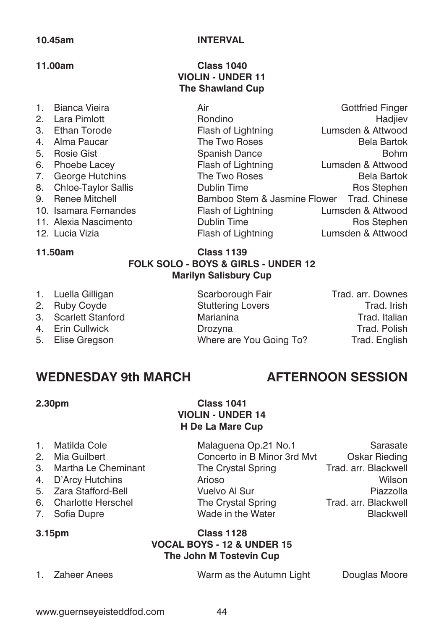#### **10.45am INTERVAL**

#### **11.00am Class 1040 VIOLIN - UNDER 11 The Shawland Cup**

| 1. | Bianca Vieira          | Air                                        | <b>Gottfried Finger</b> |
|----|------------------------|--------------------------------------------|-------------------------|
|    | 2. Lara Pimlott        | Rondino                                    | Hadjiev                 |
| 3. | Ethan Torode           | Flash of Lightning                         | Lumsden & Attwood       |
| 4. | Alma Paucar            | The Two Roses                              | <b>Bela Bartok</b>      |
| 5. | <b>Rosie Gist</b>      | Spanish Dance                              | <b>Bohm</b>             |
|    | 6. Phoebe Lacey        | Flash of Lightning                         | Lumsden & Attwood       |
|    | 7. George Hutchins     | The Two Roses                              | <b>Bela Bartok</b>      |
|    | 8. Chloe-Taylor Sallis | Dublin Time                                | Ros Stephen             |
|    | 9. Renee Mitchell      | Bamboo Stem & Jasmine Flower Trad, Chinese |                         |
|    | 10. Isamara Fernandes  | Flash of Lightning                         | Lumsden & Attwood       |
|    | 11. Alexia Nascimento  | Dublin Time                                | Ros Stephen             |
|    | 12. Lucia Vizia        | Flash of Lightning                         | Lumsden & Attwood       |

### **11.50am Class 1139 FOLK SOLO - BOYS & GIRLS - UNDER 12 Marilyn Salisbury Cup**

- 1. Luella Gilligan **Scarborough Fair** Trad. arr. Downes
- 
- 
- 
- 

2. Ruby Coyde **Stuttering Lovers** Trad. Irish 3. Scarlett Stanford Marianina Trad. Italian 4. Erin Cullwick Drozyna Trad. Polish 5. Elise Gregson Where are You Going To? Trad. English

# WEDNESDAY 9th MARCH **AFTERNOON SESSION**

### **2.30pm Class 1041 VIOLIN - UNDER 14 H De La Mare Cup**

| Matilda Cole |
|--------------|
|              |

- 
- 
- 
- 
- 
- 

2. Mia Guilbert Concerto in B Minor 3rd Mvt Oskar Rieding 3. Martha Le Cheminant The Crystal Spring Trad. arr. Blackwell 4. D'Arcy Hutchins Arioso Wilson 5. Zara Stafford-Bell Vuelvo Al Sur Piazzolla 6. Charlotte Herschel The Crystal Spring Trad. arr. Blackwell 7. Sofia Dupre **Conserver Wade in the Water Blackwell** 

Malaguena Op.21 No.1 Sarasate

### **3.15pm Class 1128 VOCAL BOYS - 12 & UNDER 15 The John M Tostevin Cup**

1. Zaheer Anees Warm as the Autumn Light Douglas Moore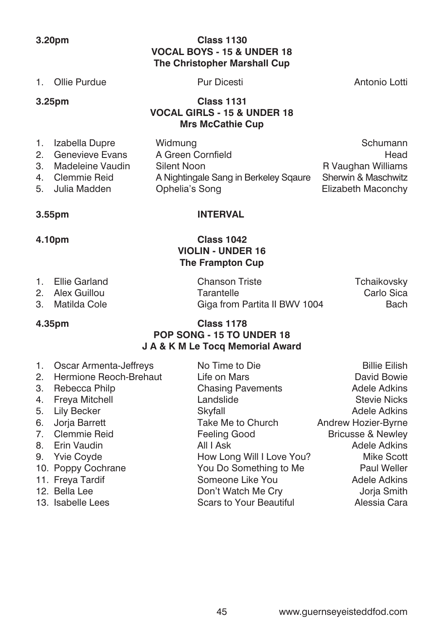### **3.20pm Class 1130 VOCAL BOYS - 15 & UNDER 18 The Christopher Marshall Cup**

| 1.             | Ollie Purdue       | <b>Pur Dicesti</b>                                                                     | Antonio Lotti       |
|----------------|--------------------|----------------------------------------------------------------------------------------|---------------------|
|                | 3.25 <sub>pm</sub> | <b>Class 1131</b><br><b>VOCAL GIRLS - 15 &amp; UNDER 18</b><br><b>Mrs McCathie Cup</b> |                     |
| $\mathbf{1}$ . | Izabella Dupre     | Widmung                                                                                | Schumann            |
| 2.             | Genevieve Evans    | A Green Cornfield                                                                      | Head                |
| 3.             | Madeleine Vaudin   | Silent Noon                                                                            | R Vaughan Williams  |
| 4.             | Clemmie Reid       | A Nightingale Sang in Berkeley Sqaure                                                  | Sherwin & Maschwitz |

5. Julia Madden Ophelia's Song Elizabeth Maconchy

### **3.55pm INTERVAL**

### **4.10pm Class 1042 VIOLIN - UNDER 16 The Frampton Cup**

| 1. Ellie Garland | <b>Chanson Triste</b>         | Tchaikovsky |
|------------------|-------------------------------|-------------|
| 2. Alex Guillou  | Tarantelle                    | Carlo Sica  |
| 3. Matilda Cole  | Giga from Partita II BWV 1004 | Bach        |

### **4.35pm Class 1178 POP SONG - 15 TO UNDER 18 J A & K M Le Tocq Memorial Award**

|    | 1. Oscar Armenta-Jeffreys | No Time to Die            | <b>Billie Eilish</b>         |
|----|---------------------------|---------------------------|------------------------------|
|    | 2. Hermione Reoch-Brehaut | Life on Mars              | David Bowie                  |
| 3. | Rebecca Philp             | <b>Chasing Pavements</b>  | Adele Adkins                 |
|    | 4. Freya Mitchell         | Landslide                 | <b>Stevie Nicks</b>          |
| 5. | Lily Becker               | Skyfall                   | Adele Adkins                 |
|    | 6. Jorja Barrett          | Take Me to Church         | Andrew Hozier-Byrne          |
|    | 7. Clemmie Reid           | Feeling Good              | <b>Bricusse &amp; Newley</b> |
|    | 8. Erin Vaudin            | All I Ask                 | Adele Adkins                 |
|    | 9. Yvie Coyde             | How Long Will I Love You? | Mike Scott                   |
|    | 10. Poppy Cochrane        | You Do Something to Me    | Paul Weller                  |
|    | 11. Freya Tardif          | Someone Like You          | Adele Adkins                 |
|    | 12. Bella Lee             | Don't Watch Me Cry        | Jorja Smith                  |
|    | 13. Isabelle Lees         | Scars to Your Beautiful   | Alessia Cara                 |
|    |                           |                           |                              |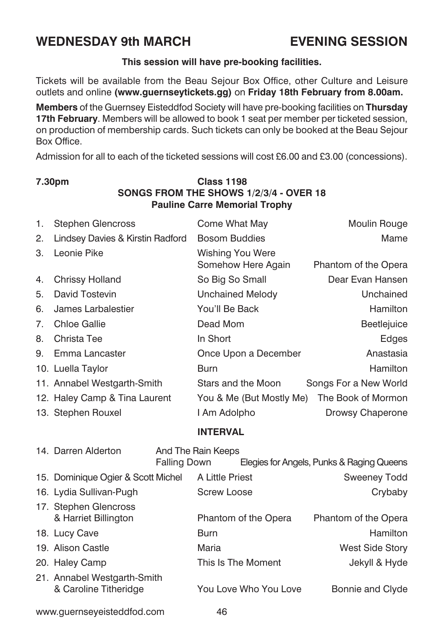# **WEDNESDAY 9th MARCH EVENING SESSION**

#### **This session will have pre-booking facilities.**

Tickets will be available from the Beau Sejour Box Office, other Culture and Leisure outlets and online **(www.guernseytickets.gg)** on **Friday 18th February from 8.00am.**

**Members** of the Guernsey Eisteddfod Society will have pre-booking facilities on **Thursday 17th February**. Members will be allowed to book 1 seat per member per ticketed session, on production of membership cards. Such tickets can only be booked at the Beau Sejour Box Office.

Admission for all to each of the ticketed sessions will cost £6.00 and £3.00 (concessions).

# www.guernseyeisteddfod.com 46 **Pauline Carre Memorial Trophy** 1. Stephen Glencross Come What May Moulin Rouge 2. Lindsey Davies & Kirstin Radford Bosom Buddies Mame 3. Leonie Pike Wishing You Were Somehow Here Again Phantom of the Opera 4. Chrissy Holland **So Big So Small** Bear Evan Hansen 5. David Tostevin Unchained Melody Unchained 6. James Larbalestier **The You'll Be Back** Hamilton 7. Chloe Gallie **Dead Mom** Beetlejuice 8. Christa Tee **In Short** In Short **Edges** 9. Emma Lancaster **Christian Conce Upon a December** Anastasia 10. Luella Taylor **Burn** Burn Burn **Hamilton** Hamilton 11. Annabel Westgarth-Smith Stars and the Moon Songs For a New World 12. Haley Camp & Tina Laurent You & Me (But Mostly Me) The Book of Mormon 13. Stephen Rouxel **I** Am Adolpho **Drowsy Chaperone INTERVAL** 14. Darren Alderton And The Rain Keeps Falling Down Elegies for Angels, Punks & Raging Queens 15. Dominique Ogier & Scott Michel A Little Priest Sweeney Todd 16. Lydia Sullivan-Pugh Screw Loose Crybaby 17. Stephen Glencross & Harriet Billington Phantom of the Opera Phantom of the Opera 18. Lucy Cave **Burn** Burn **Burn Burn Burn Burn Hamilton** 19. Alison Castle **Maria** Maria Maria Must Side Story 20. Haley Camp This Is The Moment Jekyll & Hyde 21. Annabel Westgarth-Smith & Caroline Titheridge You Love Who You Love Bonnie and Clyde

# **7.30pm Class 1198 SONGS FROM THE SHOWS 1/2/3/4 - OVER 18**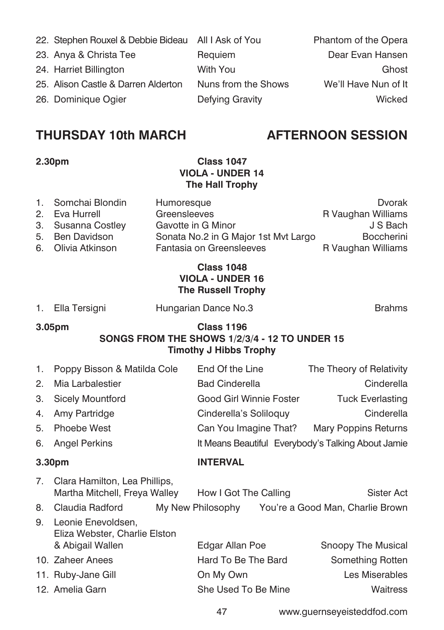22. Stephen Rouxel & Debbie Bideau All I Ask of You Phantom of the Opera 23. Anya & Christa Tee **Requiem** Requiem **Dear Evan Hansen** 24. Harriet Billington With You Ghost 25. Alison Castle & Darren Alderton Nuns from the Shows We'll Have Nun of It 26. Dominique Ogier **Defying Gravity** Defying Gravity **Defying Community** Wicked

# **THURSDAY 10th MARCH AFTERNOON SESSION**

### **2.30pm Class 1047 VIOLA - UNDER 14 The Hall Trophy**

| 1. Somchai Blondin | Humoresque                           | Dvorak             |
|--------------------|--------------------------------------|--------------------|
| 2. Eva Hurrell     | Greensleeves                         | R Vaughan Williams |
| 3. Susanna Costley | Gavotte in G Minor                   | J S Bach           |
| 5. Ben Davidson    | Sonata No.2 in G Major 1st Myt Largo | <b>Boccherini</b>  |
| 6. Olivia Atkinson | Fantasia on Greensleeves             | R Vaughan Williams |

### **Class 1048 VIOLA - UNDER 16 The Russell Trophy**

1. Ella Tersigni **Hungarian Dance No.3 Brahms** 

#### **3.05pm Class 1196 SONGS FROM THE SHOWS 1/2/3/4 - 12 TO UNDER 15 Timothy J Hibbs Trophy**

| 1.                 | Poppy Bisson & Matilda Cole                                             | End Of the Line                                    | The Theory of Relativity |
|--------------------|-------------------------------------------------------------------------|----------------------------------------------------|--------------------------|
| 2.                 | Mia Larbalestier                                                        | <b>Bad Cinderella</b>                              | Cinderella               |
| 3.                 | <b>Sicely Mountford</b>                                                 | Good Girl Winnie Foster                            | <b>Tuck Everlasting</b>  |
| 4.                 | Amy Partridge                                                           | Cinderella's Soliloquy                             | Cinderella               |
| 5.                 | Phoebe West                                                             | Can You Imagine That?                              | Mary Poppins Returns     |
| 6.                 | Angel Perkins                                                           | It Means Beautiful Everybody's Talking About Jamie |                          |
| 3.30 <sub>pm</sub> |                                                                         | <b>INTERVAL</b>                                    |                          |
| 7.                 | Clara Hamilton, Lea Phillips,<br>Martha Mitchell, Freya Walley          | How I Got The Calling                              | Sister Act               |
| 8.                 | Claudia Radford                                                         | My New Philosophy You're a Good Man, Charlie Brown |                          |
| 9.                 | Leonie Enevoldsen,<br>Eliza Webster, Charlie Elston<br>& Abigail Wallen | Edgar Allan Poe                                    | Snoopy The Musical       |
|                    | 10. Zaheer Anees                                                        | Hard To Be The Bard                                | Something Rotten         |
|                    | 11. Ruby-Jane Gill                                                      | On My Own                                          | Les Miserables           |
|                    | 12. Amelia Garn                                                         | She Used To Be Mine                                | Waitress                 |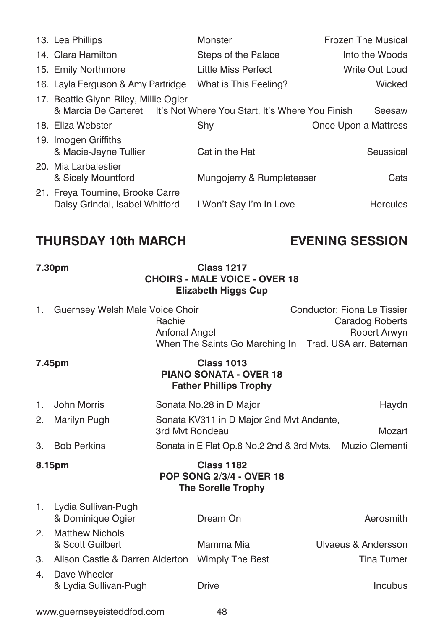| 13. Lea Phillips                                                                                              | Monster                   | Frozen The Musical   |
|---------------------------------------------------------------------------------------------------------------|---------------------------|----------------------|
| 14. Clara Hamilton                                                                                            | Steps of the Palace       | Into the Woods       |
| 15. Emily Northmore                                                                                           | Little Miss Perfect       | Write Out Loud       |
| 16. Layla Ferguson & Amy Partridge                                                                            | What is This Feeling?     | Wicked               |
| 17. Beattie Glynn-Riley, Millie Ogier<br>& Marcia De Carteret It's Not Where You Start, It's Where You Finish |                           | Seesaw               |
| 18. Eliza Webster                                                                                             | Shy                       | Once Upon a Mattress |
| 19. Imogen Griffiths<br>& Macie-Jayne Tullier                                                                 | Cat in the Hat            | Seussical            |
| 20. Mia Larbalestier<br>& Sicely Mountford                                                                    | Mungojerry & Rumpleteaser | Cats                 |
| 21. Freya Toumine, Brooke Carre<br>Daisy Grindal, Isabel Whitford                                             | I Won't Say I'm In Love   | <b>Hercules</b>      |

# **THURSDAY 10th MARCH EVENING SESSION**

### **7.30pm Class 1217 CHOIRS - MALE VOICE - OVER 18 Elizabeth Higgs Cup**

|                | 1. Guernsey Welsh Male Voice Choir          | Rachie<br>Anfonaf Angel | When The Saints Go Marching In Trad. USA arr. Bateman                               |  | Conductor: Fiona Le Tissier<br>Caradog Roberts<br>Robert Arwyn |
|----------------|---------------------------------------------|-------------------------|-------------------------------------------------------------------------------------|--|----------------------------------------------------------------|
|                | 7.45pm                                      |                         | <b>Class 1013</b><br><b>PIANO SONATA - OVER 18</b><br><b>Father Phillips Trophy</b> |  |                                                                |
| 1.             | John Morris                                 |                         | Sonata No.28 in D Major                                                             |  | Haydn                                                          |
| 2.             | Marilyn Pugh                                | 3rd Myt Rondeau         | Sonata KV311 in D Major 2nd Myt Andante,                                            |  | Mozart                                                         |
| 3.             | <b>Bob Perkins</b>                          |                         | Sonata in E Flat Op.8 No.2 2nd & 3rd Mvts. Muzio Clementi                           |  |                                                                |
|                | 8.15pm                                      |                         | <b>Class 1182</b><br><b>POP SONG 2/3/4 - OVER 18</b><br><b>The Sorelle Trophy</b>   |  |                                                                |
|                | 1. Lydia Sullivan-Pugh<br>& Dominique Ogier |                         | Dream On                                                                            |  | Aerosmith                                                      |
| 2.             | <b>Matthew Nichols</b><br>& Scott Guilbert  |                         | Mamma Mia                                                                           |  | Ulvaeus & Andersson                                            |
| 3.             | Alison Castle & Darren Alderton             |                         | Wimply The Best                                                                     |  | Tina Turner                                                    |
| 4 <sup>1</sup> | Dave Wheeler<br>& Lydia Sullivan-Pugh       |                         | Drive                                                                               |  | <b>Incubus</b>                                                 |
|                | www.guernseyeisteddfod.com<br>48            |                         |                                                                                     |  |                                                                |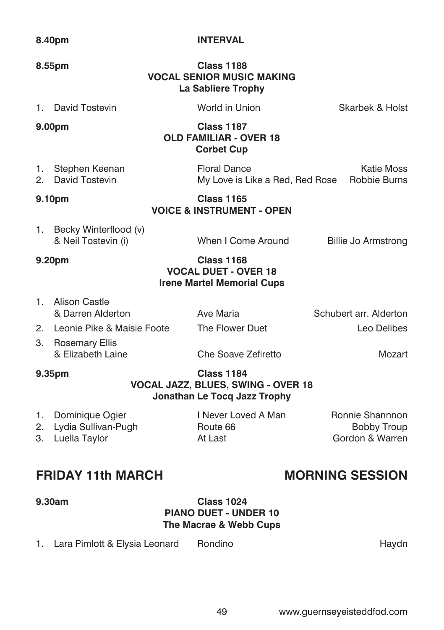#### **8.40pm INTERVAL**

### **8.55pm Class 1188 VOCAL SENIOR MUSIC MAKING La Sabliere Trophy**

1. David Tostevin World in Union Skarbek & Holst

| 9.00pm            | <b>Class 1187</b><br><b>OLD FAMILIAR - OVER 18</b> |  |
|-------------------|----------------------------------------------------|--|
|                   | <b>Corbet Cup</b>                                  |  |
| 1. Stephen Keenan | <b>Floral Dance</b>                                |  |

1. Stephen Keenan Floral Dance Katie Moss 2. David Tostevin My Love is Like a Red, Red Rose Robbie Burns

#### **9.10pm Class 1165**

**VOICE & INSTRUMENT - OPEN**

1. Becky Winterflood (v) & Neil Tostevin (i) When I Come Around Billie Jo Armstrong

### **9.20pm Class 1168 VOCAL DUET - OVER 18 Irene Martel Memorial Cups**

- 1. Alison Castle & Darren Alderton Ave Maria Schubert arr. Alderton 2. Leonie Pike & Maisie Foote The Flower Duet Leo Delibes
- 3. Rosemary Ellis<br>& Elizabeth Laine & Elizabeth Laine Che Soave Zefiretto Mozart

#### **9.35pm Class 1184 VOCAL JAZZ, BLUES, SWING - OVER 18 Jonathan Le Tocq Jazz Trophy**

| 1. Dominique Ogier     | I Never Loved A Man | Ronnie Shannnon |
|------------------------|---------------------|-----------------|
| 2. Lydia Sullivan-Pugh | Route 66            | Bobby Troup     |
| 3. Luella Taylor       | At Last             | Gordon & Warren |

# **FRIDAY 11th MARCH MORNING SESSION**

#### **9.30am Class 1024 PIANO DUET - UNDER 10 The Macrae & Webb Cups**

1. Lara Pimlott & Elysia Leonard Rondino **Haydn** Haydn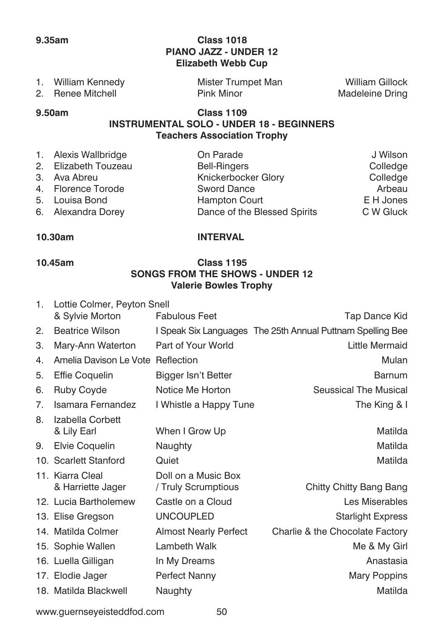### **9.35am Class 1018 PIANO JAZZ - UNDER 12 Elizabeth Webb Cup**

| William Kennedy   | Mister Trumpet Man | William Gillock |
|-------------------|--------------------|-----------------|
| 2. Renee Mitchell | <b>Pink Minor</b>  | Madeleine Dring |

### **9.50am Class 1109 INSTRUMENTAL SOLO - UNDER 18 - BEGINNERS Teachers Association Trophy**

| On Parade                                                                                                                  | J Wilson  |
|----------------------------------------------------------------------------------------------------------------------------|-----------|
| <b>Bell-Ringers</b>                                                                                                        | Colledge  |
| Knickerbocker Glory                                                                                                        | Colledge  |
| <b>Sword Dance</b>                                                                                                         | Arbeau    |
| <b>Hampton Court</b>                                                                                                       | E H Jones |
| Dance of the Blessed Spirits                                                                                               | C W Gluck |
| 1. Alexis Wallbridge<br>2. Elizabeth Touzeau<br>3. Ava Abreu<br>4. Florence Torode<br>5. Louisa Bond<br>6. Alexandra Dorey |           |

### **10.30am INTERVAL**

### **10.45am Class 1195 SONGS FROM THE SHOWS - UNDER 12 Valerie Bowles Trophy**

| 1. | Lottie Colmer, Peyton Snell           |                                            |                                                            |
|----|---------------------------------------|--------------------------------------------|------------------------------------------------------------|
|    | & Sylvie Morton                       | <b>Fabulous Feet</b>                       | Tap Dance Kid                                              |
| 2. | <b>Beatrice Wilson</b>                |                                            | I Speak Six Languages The 25th Annual Puttnam Spelling Bee |
| З. | Mary-Ann Waterton                     | Part of Your World                         | Little Mermaid                                             |
| 4. | Amelia Davison Le Vote Reflection     |                                            | Mulan                                                      |
| 5. | Effie Coquelin                        | Bigger Isn't Better                        | Barnum                                                     |
| 6. | <b>Ruby Coyde</b>                     | Notice Me Horton                           | Seussical The Musical                                      |
| 7. | Isamara Fernandez                     | I Whistle a Happy Tune                     | The King & I                                               |
| 8. | Izabella Corbett<br>& Lily Earl       | When I Grow Up                             | Matilda                                                    |
| 9. | Elvie Coquelin                        | Naughty                                    | Matilda                                                    |
|    | 10. Scarlett Stanford                 | Quiet                                      | Matilda                                                    |
|    | 11. Kiarra Cleal<br>& Harriette Jager | Doll on a Music Box<br>/ Truly Scrumptious | Chitty Chitty Bang Bang                                    |
|    | 12. Lucia Bartholemew                 | Castle on a Cloud                          | Les Miserables                                             |
|    | 13. Elise Gregson                     | <b>UNCOUPLED</b>                           | <b>Starlight Express</b>                                   |
|    | 14. Matilda Colmer                    | <b>Almost Nearly Perfect</b>               | Charlie & the Chocolate Factory                            |
|    | 15. Sophie Wallen                     | Lambeth Walk                               | Me & My Girl                                               |
|    | 16. Luella Gilligan                   | In My Dreams                               | Anastasia                                                  |
|    | 17. Elodie Jager                      | Perfect Nanny                              | <b>Mary Poppins</b>                                        |
|    | 18. Matilda Blackwell                 | Naughty                                    | Matilda                                                    |

www.guernseyeisteddfod.com 50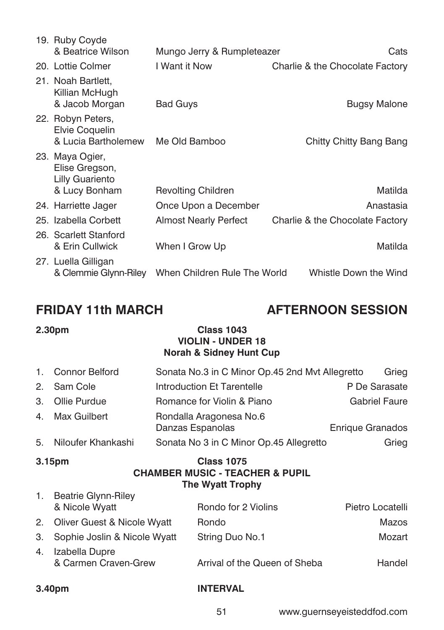| 19. Ruby Coyde<br>& Beatrice Wilson                                   | Mungo Jerry & Rumpleteazer   |                                 |
|-----------------------------------------------------------------------|------------------------------|---------------------------------|
| 20. Lottie Colmer                                                     | I Want it Now                | Charlie & the Chocolate Factory |
| 21. Noah Bartlett.<br>Killian McHugh<br>& Jacob Morgan                | <b>Bad Guys</b>              | <b>Bugsy Malone</b>             |
| 22. Robyn Peters,<br>Elvie Coquelin<br>& Lucia Bartholemew            | Me Old Bamboo                | Chitty Chitty Bang Bang         |
| 23. Maya Ogier,<br>Elise Gregson,<br>Lilly Guariento<br>& Lucy Bonham | <b>Revolting Children</b>    | Matilda                         |
| 24. Harriette Jager                                                   | Once Upon a December         | Anastasia                       |
| 25. Izabella Corbett                                                  | <b>Almost Nearly Perfect</b> | Charlie & the Chocolate Factory |
| 26. Scarlett Stanford<br>& Erin Cullwick                              | When I Grow Up               | Matilda                         |
| 27. Luella Gilligan<br>& Clemmie Glynn-Riley                          | When Children Rule The World | Whistle Down the Wind           |

# **FRIDAY 11th MARCH AFTERNOON SESSION**

### **2.30pm Class 1043 VIOLIN - UNDER 18 Norah & Sidney Hunt Cup**

| 1. Connor Belford     | Sonata No.3 in C Minor Op.45 2nd Myt Allegretto | Grieg                   |
|-----------------------|-------------------------------------------------|-------------------------|
| 2. Sam Cole           | Introduction Et Tarentelle                      | P De Sarasate           |
| 3. Ollie Purdue       | Romance for Violin & Piano                      | <b>Gabriel Faure</b>    |
| 4. Max Guilbert       | Rondalla Aragonesa No.6<br>Danzas Espanolas     | <b>Enrique Granados</b> |
| 5. Niloufer Khankashi | Sonata No 3 in C Minor Op.45 Allegretto         | Grieg                   |

#### **3.15pm Class 1075 CHAMBER MUSIC - TEACHER & PUPIL The Wyatt Trophy** 1. Beatrie Glynn-Riley

| $\blacksquare$ Dealite Millipline $\blacksquare$ |                               |                  |
|--------------------------------------------------|-------------------------------|------------------|
| & Nicole Wyatt                                   | Rondo for 2 Violins           | Pietro Locatelli |
| 2. Oliver Guest & Nicole Wyatt                   | <b>Rondo</b>                  | Mazos            |
| 3. Sophie Joslin & Nicole Wyatt                  | String Duo No.1               | Mozart           |
| 4. Izabella Dupre<br>& Carmen Craven-Grew        | Arrival of the Queen of Sheba | Handel           |

### **3.40pm INTERVAL**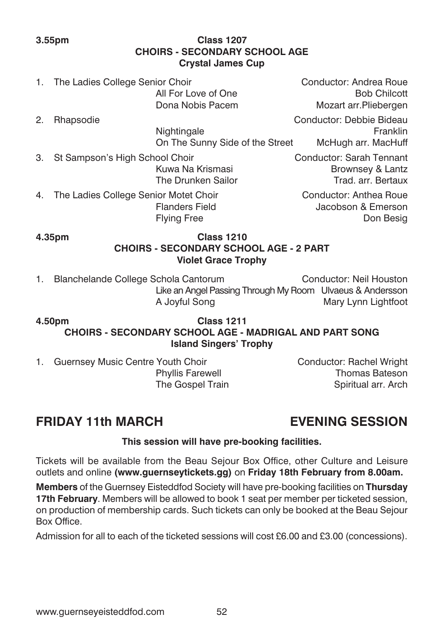### **3.55pm Class 1207 CHOIRS - SECONDARY SCHOOL AGE Crystal James Cup**

- 1. The Ladies College Senior Choir Choir Chocal Conductor: Andrea Roue<br>All For Love of One Chical Chilcott Bob Chilcott All For Love of One
- 2. Rhapsodie Conductor: Debbie Bideau
- 3. St Sampson's High School Choir Conductor: Sarah Tennant
- 4. The Ladies College Senior Motet Choir Conductor: Anthea Roue Flying Free Don Besig

Dona Nobis Pacem Mozart arr.Pliebergen Nightingale **Franklin** On The Sunny Side of the Street McHugh arr. MacHuff

Kuwa Na Krismasi **Brownsey & Lantz** The Drunken Sailor Trad. arr. Bertaux

Flanders Field Jacobson & Emerson

### **4.35pm Class 1210 CHOIRS - SECONDARY SCHOOL AGE - 2 PART Violet Grace Trophy**

1. Blanchelande College Schola Cantorum Conductor: Neil Houston Like an Angel Passing Through My Room Ulvaeus & Andersson A Joyful Song Mary Lynn Lightfoot

### **4.50pm Class 1211 CHOIRS - SECONDARY SCHOOL AGE - MADRIGAL AND PART SONG Island Singers' Trophy**

1. Guernsey Music Centre Youth Choir Conductor: Rachel Wright

Phyllis Farewell **Thomas Bateson** The Gospel Train Spiritual arr. Arch

# **FRIDAY 11th MARCH EVENING SESSION**

### **This session will have pre-booking facilities.**

Tickets will be available from the Beau Sejour Box Office, other Culture and Leisure outlets and online **(www.guernseytickets.gg)** on **Friday 18th February from 8.00am.**

**Members** of the Guernsey Eisteddfod Society will have pre-booking facilities on **Thursday 17th February**. Members will be allowed to book 1 seat per member per ticketed session, on production of membership cards. Such tickets can only be booked at the Beau Sejour Box Office.

Admission for all to each of the ticketed sessions will cost £6.00 and £3.00 (concessions).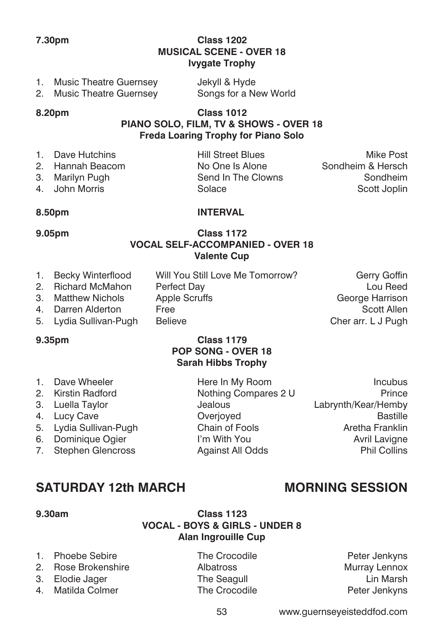### **7.30pm Class 1202 MUSICAL SCENE - OVER 18 Ivygate Trophy**

| 1. Music Theatre Guernsey | Jekyll & Hyde         |
|---------------------------|-----------------------|
| 2. Music Theatre Guernsey | Songs for a New World |

**8.20pm Class 1012 PIANO SOLO, FILM, TV & SHOWS - OVER 18 Freda Loaring Trophy for Piano Solo**

| 1. Dave Hutchins | <b>Hill Street Blues</b> | Mike Post         |
|------------------|--------------------------|-------------------|
| 2. Hannah Beacom | No One Is Alone          | Sondheim & Hersch |
| 3. Marilyn Pugh  | Send In The Clowns       | Sondheim          |
| 4. John Morris   | Solace                   | Scott Joplin      |
|                  |                          |                   |

#### **8.50pm INTERVAL**

#### **9.05pm Class 1172 VOCAL SELF-ACCOMPANIED - OVER 18 Valente Cup**

- 1. Becky Winterflood Will You Still Love Me Tomorrow? Gerry Goffin
	-
- 2. Richard McMahon Perfect Day **Communist Communist Communist Communist Communist Communist Communist Communist Communist Communist Communist Communist Communist Communist Communist Communist Communist Communist Communist** 3. Matthew Nichols Apple Scruffs
- 4. Darren Alderton Free Free Scott Allen
- 5. Lydia Sullivan-Pugh Believe Cher arr. L J Pugh

### **9.35pm Class 1179 POP SONG - OVER 18 Sarah Hibbs Trophy**

1. Dave Wheeler **Here In My Room Incubus** 2. Kirstin Radford **Nothing Compares 2 U** Prince 3. Luella Taylor Jealous Labrynth/Kear/Hemby 4. Lucy Cave Coverioved Coverioved Bastille 5. Lydia Sullivan-Pugh Chain of Fools **Chain Chain Chain Constant Aretha Franklin** 6. Dominique Ogier **I'm With You** Avril Lavigne 7. Stephen Glencross **Against All Odds** Phil Collins

# **SATURDAY 12th MARCH MORNING SESSION**

### **9.30am Class 1123 VOCAL - BOYS & GIRLS - UNDER 8 Alan Ingrouille Cup**

- 1. Phoebe Sebire The Crocodile Peter Jenkyns
- 2. Rose Brokenshire **Albatross** Murray Lennox
- 
- 4. Matilda Colmer **The Crocodile Collement Colle** Peter Jenkyns
- 

3. Elodie Jager The Seagull Lin Marsh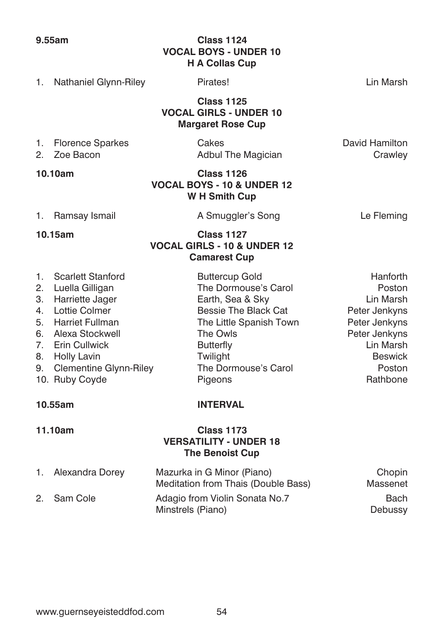### **9.55am Class 1124 VOCAL BOYS - UNDER 10 H A Collas Cup**

1. Nathaniel Glynn-Riley Pirates! Lin Marsh

 **Class 1125 VOCAL GIRLS - UNDER 10 Margaret Rose Cup**

- 
- 

1. Florence Sparkes Cakes Cakes Cakes Cakes David Hamilton Cass Cakes Cakes Cass Cavid Hamilton Crawley Adbul The Magician Crawley

### **10.10am Class 1126 VOCAL BOYS - 10 & UNDER 12 W H Smith Cup**

1. Ramsay Ismail **A Smuggler's Song** Le Fleming

### **10.15am Class 1127 VOCAL GIRLS - 10 & UNDER 12 Camarest Cup**

| 1. Scarlett Stanford      | <b>Buttercup Gold</b>   | Hanforth       |
|---------------------------|-------------------------|----------------|
| 2. Luella Gilligan        | The Dormouse's Carol    | Poston         |
| 3. Harriette Jager        | Earth, Sea & Sky        | Lin Marsh      |
| 4. Lottie Colmer          | Bessie The Black Cat    | Peter Jenkyns  |
| 5. Harriet Fullman        | The Little Spanish Town | Peter Jenkyns  |
| 6. Alexa Stockwell        | The Owls                | Peter Jenkyns  |
| 7. Erin Cullwick          | <b>Butterfly</b>        | Lin Marsh      |
| 8. Holly Lavin            | Twilight                | <b>Beswick</b> |
| 9. Clementine Glynn-Riley | The Dormouse's Carol    | Poston         |
| 10. Ruby Coyde            | Pigeons                 | Rathbone       |
|                           |                         |                |

### **10.55am INTERVAL**

### **11.10am Class 1173 VERSATILITY - UNDER 18 The Benoist Cup**

| 1. | Alexandra Dorey | Mazurka in G Minor (Piano)<br>Meditation from Thais (Double Bass) | Chopin<br>Massenet |
|----|-----------------|-------------------------------------------------------------------|--------------------|
|    | 2. Sam Cole     | Adagio from Violin Sonata No.7<br>Minstrels (Piano)               | Bach<br>Debussy    |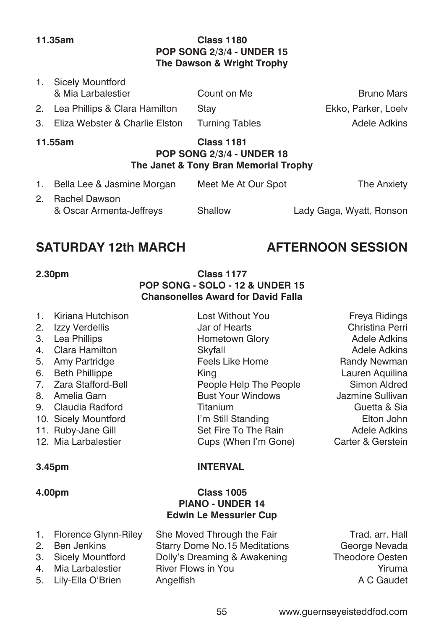1. Sicely Mountford

### **11.35am Class 1180 POP SONG 2/3/4 - UNDER 15 The Dawson & Wright Trophy**

| -------                                             |             |                     |
|-----------------------------------------------------|-------------|---------------------|
| 3. Eliza Webster & Charlie Elston Turning Tables    |             | Adele Adkins        |
| 2. Lea Phillips & Clara Hamilton                    | Stav        | Ekko, Parker, Loelv |
| <b>1. UILLER</b> INIULITIUI U<br>& Mia Larbalestier | Count on Me | <b>Bruno Mars</b>   |

#### **11.55am Class 1181 POP SONG 2/3/4 - UNDER 18 The Janet & Tony Bran Memorial Trophy**

| 1. | Bella Lee & Jasmine Morgan | Meet Me At Our Spot | The Anxiety              |
|----|----------------------------|---------------------|--------------------------|
|    | 2. Rachel Dawson           |                     |                          |
|    | & Oscar Armenta-Jeffreys   | Shallow             | Lady Gaga, Wyatt, Ronson |

# SATURDAY 12th MARCH **AFTERNOON SESSION**

### **2.30pm Class 1177 POP SONG - SOLO - 12 & UNDER 15 Chansonelles Award for David Falla**

- 1. Kiriana Hutchison **Lost Without You Freya Ridings**
- 
- 
- 
- 5. Amy Partridge The Feels Like Home The Randy Newman
- 6. Beth Phillippe **King Lauren Aquilina** King Lauren Aquilina
- 
- 
- 9. Claudia Radford Titanium Guetta & Sia
- 
- 
- 12. Mia Larbalestier Cups (When I'm Gone) Carter & Gerstein

### **3.45pm INTERVAL**

### **4.00pm Class 1005 PIANO - UNDER 14 Edwin Le Messurier Cup**

1. Florence Glynn-Riley She Moved Through the Fair Trad. arr. Hall 2. Ben Jenkins Starry Dome No.15 Meditations George Nevada 3. Sicely Mountford Dolly's Dreaming & Awakening Theodore Oesten 4. Mia Larbalestier River Flows in You Yiruma 5. Lily-Ella O'Brien Angelfish Angelfish A C Gaudet

2. Izzy Verdellis Jar of Hearts Christina Perri 3. Lea Phillips **Hometown Glory Hometown Glory Adele Adkins** 4. Clara Hamilton Skyfall Adele Adkins 7. Zara Stafford-Bell **People Help The People** Simon Aldred<br>1. Amelia Garn **Bust Your Windows** Sullivan 8. Amelia Garn Bust Your Windows Jazmine Sullivan 10. Sicely Mountford **I'm Still Standing** Elton John 11. Ruby-Jane Gill **Set Fire To The Rain** Adele Adkins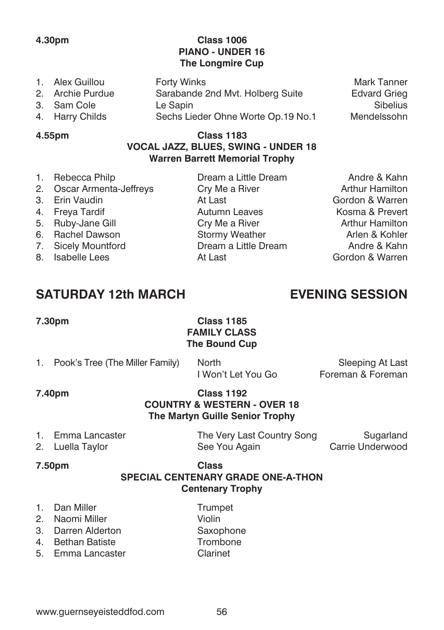- 
- 3. Sam Cole Le Sapin
- 

### **4.30pm Class 1006 PIANO - UNDER 16 The Longmire Cup**

- 4. Harry Childs Sechs Lieder Ohne Worte Op.19 No.1 Mendelssohn **4.55pm Class 1183**
- 1. Alex Guillou Forty Winks Mark Tanner 2. Sarabande 2nd Mvt. Holberg Suite Edvard Grieg<br>Le Sapin Barchie Edvard Grieg

# **VOCAL JAZZ, BLUES, SWING - UNDER 18 Warren Barrett Memorial Trophy**

| 1. Rebecca Philp          | Dream a Little Dream | Andre & Kahn           |
|---------------------------|----------------------|------------------------|
| 2. Oscar Armenta-Jeffreys | Cry Me a River       | <b>Arthur Hamilton</b> |
| 3. Erin Vaudin            | At Last              | Gordon & Warren        |
| 4. Freva Tardif           | Autumn Leaves        | Kosma & Prevert        |
| 5. Ruby-Jane Gill         | Cry Me a River       | <b>Arthur Hamilton</b> |
| 6. Rachel Dawson          | Stormy Weather       | Arlen & Kohler         |
| 7. Sicely Mountford       | Dream a Little Dream | Andre & Kahn           |
| 8. Isabelle Lees          | At Last              | Gordon & Warren        |
|                           |                      |                        |

# **SATURDAY 12th MARCH EVENING SESSION**

### **7.30pm Class 1185 FAMILY CLASS The Bound Cup**

1. Pook's Tree (The Miller Family) North Sleeping At Last<br>I Won't Let You Go Foreman & Foreman Foreman & Foreman

#### **7.40pm Class 1192 COUNTRY & WESTERN - OVER 18 The Martyn Guille Senior Trophy**

- 
- 

1. Emma Lancaster The Very Last Country Song Sugarland 2. Luella Taylor **See You Again** Carrie Underwood

### **7.50pm Class SPECIAL CENTENARY GRADE ONE-A-THON Centenary Trophy**

- 1. Dan Miller **Trumpet**
- 2. Naomi Miller Violin
- 3. Darren Alderton Saxophone<br>4 Bethan Batiste Strombone
- 4. Bethan Batiste
- 5. Emma Lancaster Clarinet